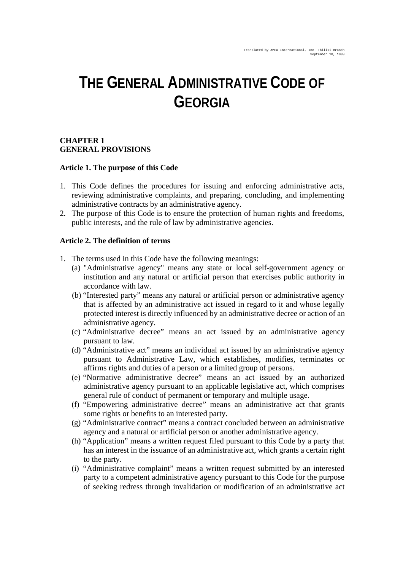# **THE GENERAL ADMINISTRATIVE CODE OF GEORGIA**

# **CHAPTER 1 GENERAL PROVISIONS**

#### **Article 1. The purpose of this Code**

- 1. This Code defines the procedures for issuing and enforcing administrative acts, reviewing administrative complaints, and preparing, concluding, and implementing administrative contracts by an administrative agency.
- 2. The purpose of this Code is to ensure the protection of human rights and freedoms, public interests, and the rule of law by administrative agencies.

# **Article 2. The definition of terms**

- 1. The terms used in this Code have the following meanings:
	- (a) "Administrative agency" means any state or local self-government agency or institution and any natural or artificial person that exercises public authority in accordance with law.
	- (b) "Interested party" means any natural or artificial person or administrative agency that is affected by an administrative act issued in regard to it and whose legally protected interest is directly influenced by an administrative decree or action of an administrative agency.
	- (c) "Administrative decree" means an act issued by an administrative agency pursuant to law.
	- (d) "Administrative act" means an individual act issued by an administrative agency pursuant to Administrative Law, which establishes, modifies, terminates or affirms rights and duties of a person or a limited group of persons.
	- (e) "Normative administrative decree" means an act issued by an authorized administrative agency pursuant to an applicable legislative act, which comprises general rule of conduct of permanent or temporary and multiple usage.
	- (f) "Empowering administrative decree" means an administrative act that grants some rights or benefits to an interested party.
	- (g) "Administrative contract" means a contract concluded between an administrative agency and a natural or artificial person or another administrative agency.
	- (h) "Application" means a written request filed pursuant to this Code by a party that has an interest in the issuance of an administrative act, which grants a certain right to the party.
	- (i) "Administrative complaint" means a written request submitted by an interested party to a competent administrative agency pursuant to this Code for the purpose of seeking redress through invalidation or modification of an administrative act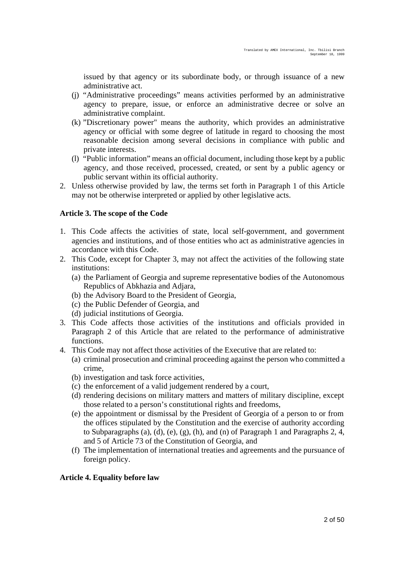issued by that agency or its subordinate body, or through issuance of a new administrative act.

- (j) "Administrative proceedings" means activities performed by an administrative agency to prepare, issue, or enforce an administrative decree or solve an administrative complaint.
- (k) "Discretionary power" means the authority, which provides an administrative agency or official with some degree of latitude in regard to choosing the most reasonable decision among several decisions in compliance with public and private interests.
- (l) "Public information" means an official document, including those kept by a public agency, and those received, processed, created, or sent by a public agency or public servant within its official authority.
- 2. Unless otherwise provided by law, the terms set forth in Paragraph 1 of this Article may not be otherwise interpreted or applied by other legislative acts.

## **Article 3. The scope of the Code**

- 1. This Code affects the activities of state, local self-government, and government agencies and institutions, and of those entities who act as administrative agencies in accordance with this Code.
- 2. This Code, except for Chapter 3, may not affect the activities of the following state institutions:
	- (a) the Parliament of Georgia and supreme representative bodies of the Autonomous Republics of Abkhazia and Adjara,
	- (b) the Advisory Board to the President of Georgia,
	- (c) the Public Defender of Georgia, and
	- (d) judicial institutions of Georgia.
- 3. This Code affects those activities of the institutions and officials provided in Paragraph 2 of this Article that are related to the performance of administrative functions.
- 4. This Code may not affect those activities of the Executive that are related to:
	- (a) criminal prosecution and criminal proceeding against the person who committed a crime,
	- (b) investigation and task force activities,
	- (c) the enforcement of a valid judgement rendered by a court,
	- (d) rendering decisions on military matters and matters of military discipline, except those related to a person's constitutional rights and freedoms,
	- (e) the appointment or dismissal by the President of Georgia of a person to or from the offices stipulated by the Constitution and the exercise of authority according to Subparagraphs (a), (d), (e), (g), (h), and (n) of Paragraph 1 and Paragraphs 2, 4, and 5 of Article 73 of the Constitution of Georgia, and
	- (f) The implementation of international treaties and agreements and the pursuance of foreign policy.

#### **Article 4. Equality before law**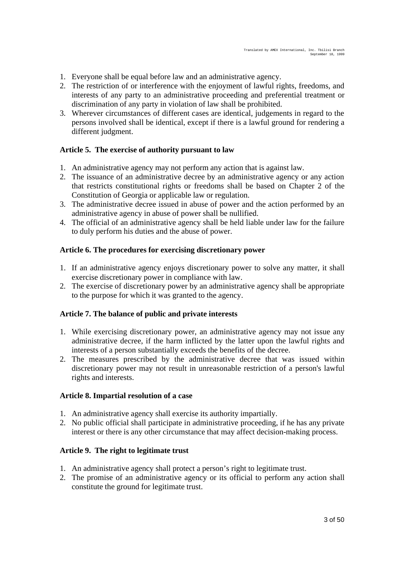- 1. Everyone shall be equal before law and an administrative agency.
- 2. The restriction of or interference with the enjoyment of lawful rights, freedoms, and interests of any party to an administrative proceeding and preferential treatment or discrimination of any party in violation of law shall be prohibited.
- 3. Wherever circumstances of different cases are identical, judgements in regard to the persons involved shall be identical, except if there is a lawful ground for rendering a different judgment.

# **Article 5. The exercise of authority pursuant to law**

- 1. An administrative agency may not perform any action that is against law.
- 2. The issuance of an administrative decree by an administrative agency or any action that restricts constitutional rights or freedoms shall be based on Chapter 2 of the Constitution of Georgia or applicable law or regulation.
- 3. The administrative decree issued in abuse of power and the action performed by an administrative agency in abuse of power shall be nullified.
- 4. The official of an administrative agency shall be held liable under law for the failure to duly perform his duties and the abuse of power.

# **Article 6. The procedures for exercising discretionary power**

- 1. If an administrative agency enjoys discretionary power to solve any matter, it shall exercise discretionary power in compliance with law.
- 2. The exercise of discretionary power by an administrative agency shall be appropriate to the purpose for which it was granted to the agency.

# **Article 7. The balance of public and private interests**

- 1. While exercising discretionary power, an administrative agency may not issue any administrative decree, if the harm inflicted by the latter upon the lawful rights and interests of a person substantially exceeds the benefits of the decree.
- 2. The measures prescribed by the administrative decree that was issued within discretionary power may not result in unreasonable restriction of a person's lawful rights and interests.

# **Article 8. Impartial resolution of a case**

- 1. An administrative agency shall exercise its authority impartially.
- 2. No public official shall participate in administrative proceeding, if he has any private interest or there is any other circumstance that may affect decision-making process.

# **Article 9. The right to legitimate trust**

- 1. An administrative agency shall protect a person's right to legitimate trust.
- 2. The promise of an administrative agency or its official to perform any action shall constitute the ground for legitimate trust.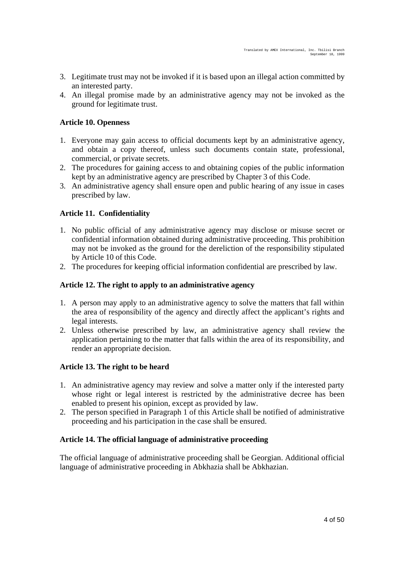- 3. Legitimate trust may not be invoked if it is based upon an illegal action committed by an interested party.
- 4. An illegal promise made by an administrative agency may not be invoked as the ground for legitimate trust.

#### **Article 10. Openness**

- 1. Everyone may gain access to official documents kept by an administrative agency, and obtain a copy thereof, unless such documents contain state, professional, commercial, or private secrets.
- 2. The procedures for gaining access to and obtaining copies of the public information kept by an administrative agency are prescribed by Chapter 3 of this Code.
- 3. An administrative agency shall ensure open and public hearing of any issue in cases prescribed by law.

# **Article 11. Confidentiality**

- 1. No public official of any administrative agency may disclose or misuse secret or confidential information obtained during administrative proceeding. This prohibition may not be invoked as the ground for the dereliction of the responsibility stipulated by Article 10 of this Code.
- 2. The procedures for keeping official information confidential are prescribed by law.

## **Article 12. The right to apply to an administrative agency**

- 1. A person may apply to an administrative agency to solve the matters that fall within the area of responsibility of the agency and directly affect the applicant's rights and legal interests.
- 2. Unless otherwise prescribed by law, an administrative agency shall review the application pertaining to the matter that falls within the area of its responsibility, and render an appropriate decision.

#### **Article 13. The right to be heard**

- 1. An administrative agency may review and solve a matter only if the interested party whose right or legal interest is restricted by the administrative decree has been enabled to present his opinion, except as provided by law.
- 2. The person specified in Paragraph 1 of this Article shall be notified of administrative proceeding and his participation in the case shall be ensured.

# **Article 14. The official language of administrative proceeding**

The official language of administrative proceeding shall be Georgian. Additional official language of administrative proceeding in Abkhazia shall be Abkhazian.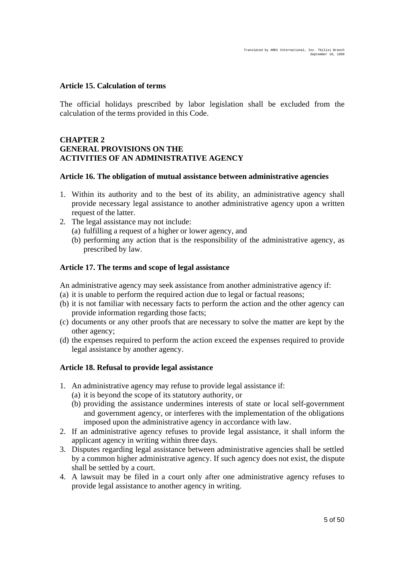#### **Article 15. Calculation of terms**

The official holidays prescribed by labor legislation shall be excluded from the calculation of the terms provided in this Code.

#### **CHAPTER 2 GENERAL PROVISIONS ON THE ACTIVITIES OF AN ADMINISTRATIVE AGENCY**

#### **Article 16. The obligation of mutual assistance between administrative agencies**

- 1. Within its authority and to the best of its ability, an administrative agency shall provide necessary legal assistance to another administrative agency upon a written request of the latter.
- 2. The legal assistance may not include:
	- (a) fulfilling a request of a higher or lower agency, and
	- (b) performing any action that is the responsibility of the administrative agency, as prescribed by law.

#### **Article 17. The terms and scope of legal assistance**

An administrative agency may seek assistance from another administrative agency if:

- (a) it is unable to perform the required action due to legal or factual reasons;
- (b) it is not familiar with necessary facts to perform the action and the other agency can provide information regarding those facts;
- (c) documents or any other proofs that are necessary to solve the matter are kept by the other agency;
- (d) the expenses required to perform the action exceed the expenses required to provide legal assistance by another agency.

#### **Article 18. Refusal to provide legal assistance**

- 1. An administrative agency may refuse to provide legal assistance if:
	- (a) it is beyond the scope of its statutory authority, or
	- (b) providing the assistance undermines interests of state or local self-government and government agency, or interferes with the implementation of the obligations imposed upon the administrative agency in accordance with law.
- 2. If an administrative agency refuses to provide legal assistance, it shall inform the applicant agency in writing within three days.
- 3. Disputes regarding legal assistance between administrative agencies shall be settled by a common higher administrative agency. If such agency does not exist, the dispute shall be settled by a court.
- 4. A lawsuit may be filed in a court only after one administrative agency refuses to provide legal assistance to another agency in writing.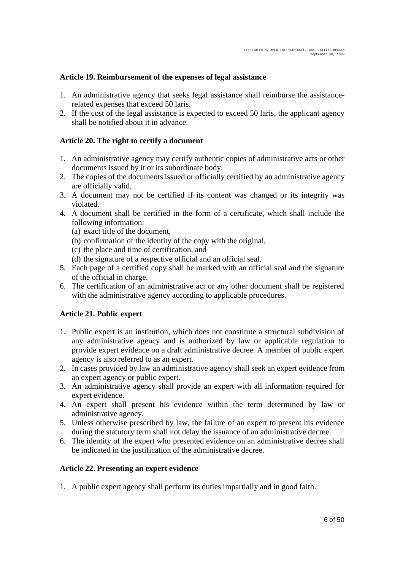## **Article 19. Reimbursement of the expenses of legal assistance**

- 1. An administrative agency that seeks legal assistance shall reimburse the assistancerelated expenses that exceed 50 laris.
- 2. If the cost of the legal assistance is expected to exceed 50 laris, the applicant agency shall be notified about it in advance.

## **Article 20. The right to certify a document**

- 1. An administrative agency may certify authentic copies of administrative acts or other documents issued by it or its subordinate body.
- 2. The copies of the documents issued or officially certified by an administrative agency are officially valid.
- 3. A document may not be certified if its content was changed or its integrity was violated.
- 4. A document shall be certified in the form of a certificate, which shall include the following information:
	- (a) exact title of the document,
	- (b) confirmation of the identity of the copy with the original,
	- (c) the place and time of certification, and
	- (d) the signature of a respective official and an official seal.
- 5. Each page of a certified copy shall be marked with an official seal and the signature of the official in charge.
- 6. The certification of an administrative act or any other document shall be registered with the administrative agency according to applicable procedures.

#### **Article 21. Public expert**

- 1. Public expert is an institution, which does not constitute a structural subdivision of any administrative agency and is authorized by law or applicable regulation to provide expert evidence on a draft administrative decree. A member of public expert agency is also referred to as an expert.
- 2. In cases provided by law an administrative agency shall seek an expert evidence from an expert agency or public expert.
- 3. An administrative agency shall provide an expert with all information required for expert evidence.
- 4. An expert shall present his evidence within the term determined by law or administrative agency.
- 5. Unless otherwise prescribed by law, the failure of an expert to present his evidence during the statutory term shall not delay the issuance of an administrative decree.
- 6. The identity of the expert who presented evidence on an administrative decree shall be indicated in the justification of the administrative decree.

#### **Article 22. Presenting an expert evidence**

1. A public expert agency shall perform its duties impartially and in good faith.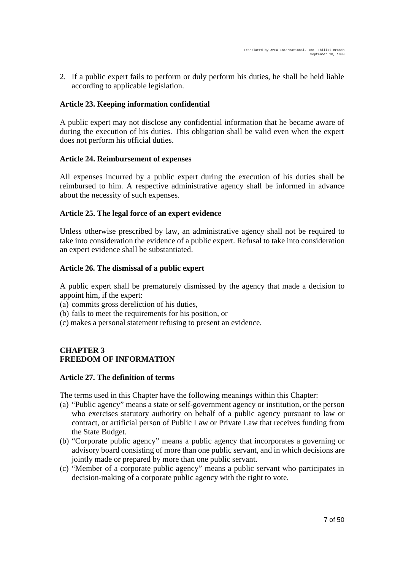2. If a public expert fails to perform or duly perform his duties, he shall be held liable according to applicable legislation.

#### **Article 23. Keeping information confidential**

A public expert may not disclose any confidential information that he became aware of during the execution of his duties. This obligation shall be valid even when the expert does not perform his official duties.

## **Article 24. Reimbursement of expenses**

All expenses incurred by a public expert during the execution of his duties shall be reimbursed to him. A respective administrative agency shall be informed in advance about the necessity of such expenses.

## **Article 25. The legal force of an expert evidence**

Unless otherwise prescribed by law, an administrative agency shall not be required to take into consideration the evidence of a public expert. Refusal to take into consideration an expert evidence shall be substantiated.

#### **Article 26. The dismissal of a public expert**

A public expert shall be prematurely dismissed by the agency that made a decision to appoint him, if the expert:

(a) commits gross dereliction of his duties,

- (b) fails to meet the requirements for his position, or
- (c) makes a personal statement refusing to present an evidence.

# **CHAPTER 3 FREEDOM OF INFORMATION**

#### **Article 27. The definition of terms**

The terms used in this Chapter have the following meanings within this Chapter:

- (a) "Public agency" means a state or self-government agency or institution, or the person who exercises statutory authority on behalf of a public agency pursuant to law or contract, or artificial person of Public Law or Private Law that receives funding from the State Budget.
- (b) "Corporate public agency" means a public agency that incorporates a governing or advisory board consisting of more than one public servant, and in which decisions are jointly made or prepared by more than one public servant.
- (c) "Member of a corporate public agency" means a public servant who participates in decision-making of a corporate public agency with the right to vote.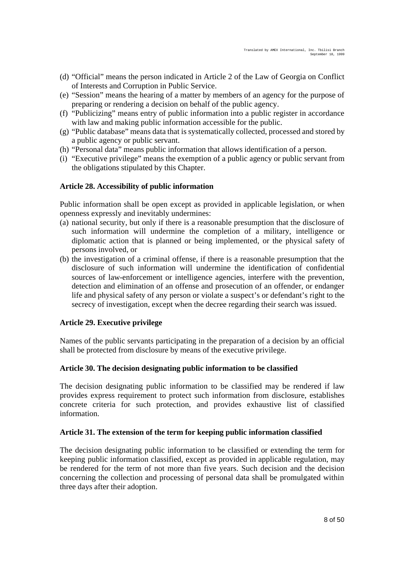- (d) "Official" means the person indicated in Article 2 of the Law of Georgia on Conflict of Interests and Corruption in Public Service.
- (e) "Session" means the hearing of a matter by members of an agency for the purpose of preparing or rendering a decision on behalf of the public agency.
- (f) "Publicizing" means entry of public information into a public register in accordance with law and making public information accessible for the public.
- (g) "Public database" means data that is systematically collected, processed and stored by a public agency or public servant.
- (h) "Personal data" means public information that allows identification of a person.
- (i) "Executive privilege" means the exemption of a public agency or public servant from the obligations stipulated by this Chapter.

# **Article 28. Accessibility of public information**

Public information shall be open except as provided in applicable legislation, or when openness expressly and inevitably undermines:

- (a) national security, but only if there is a reasonable presumption that the disclosure of such information will undermine the completion of a military, intelligence or diplomatic action that is planned or being implemented, or the physical safety of persons involved, or
- (b) the investigation of a criminal offense, if there is a reasonable presumption that the disclosure of such information will undermine the identification of confidential sources of law-enforcement or intelligence agencies, interfere with the prevention, detection and elimination of an offense and prosecution of an offender, or endanger life and physical safety of any person or violate a suspect's or defendant's right to the secrecy of investigation, except when the decree regarding their search was issued.

# **Article 29. Executive privilege**

Names of the public servants participating in the preparation of a decision by an official shall be protected from disclosure by means of the executive privilege.

#### **Article 30. The decision designating public information to be classified**

The decision designating public information to be classified may be rendered if law provides express requirement to protect such information from disclosure, establishes concrete criteria for such protection, and provides exhaustive list of classified information.

#### **Article 31. The extension of the term for keeping public information classified**

The decision designating public information to be classified or extending the term for keeping public information classified, except as provided in applicable regulation, may be rendered for the term of not more than five years. Such decision and the decision concerning the collection and processing of personal data shall be promulgated within three days after their adoption.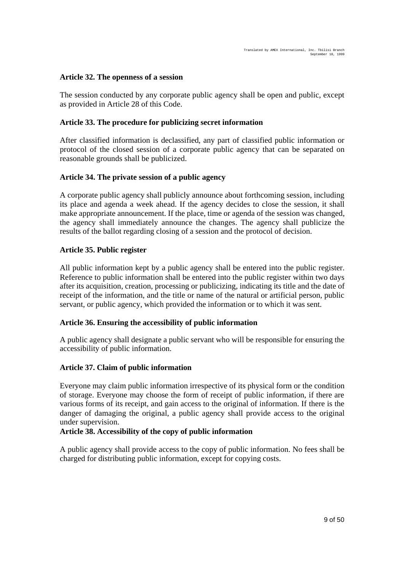#### **Article 32. The openness of a session**

The session conducted by any corporate public agency shall be open and public, except as provided in Article 28 of this Code.

#### **Article 33. The procedure for publicizing secret information**

After classified information is declassified, any part of classified public information or protocol of the closed session of a corporate public agency that can be separated on reasonable grounds shall be publicized.

# **Article 34. The private session of a public agency**

A corporate public agency shall publicly announce about forthcoming session, including its place and agenda a week ahead. If the agency decides to close the session, it shall make appropriate announcement. If the place, time or agenda of the session was changed, the agency shall immediately announce the changes. The agency shall publicize the results of the ballot regarding closing of a session and the protocol of decision.

## **Article 35. Public register**

All public information kept by a public agency shall be entered into the public register. Reference to public information shall be entered into the public register within two days after its acquisition, creation, processing or publicizing, indicating its title and the date of receipt of the information, and the title or name of the natural or artificial person, public servant, or public agency, which provided the information or to which it was sent.

# **Article 36. Ensuring the accessibility of public information**

A public agency shall designate a public servant who will be responsible for ensuring the accessibility of public information.

# **Article 37. Claim of public information**

Everyone may claim public information irrespective of its physical form or the condition of storage. Everyone may choose the form of receipt of public information, if there are various forms of its receipt, and gain access to the original of information. If there is the danger of damaging the original, a public agency shall provide access to the original under supervision.

# **Article 38. Accessibility of the copy of public information**

A public agency shall provide access to the copy of public information. No fees shall be charged for distributing public information, except for copying costs.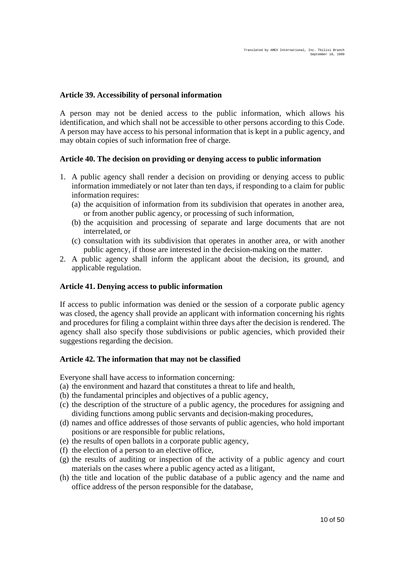#### **Article 39. Accessibility of personal information**

A person may not be denied access to the public information, which allows his identification, and which shall not be accessible to other persons according to this Code. A person may have access to his personal information that is kept in a public agency, and may obtain copies of such information free of charge.

#### **Article 40. The decision on providing or denying access to public information**

- 1. A public agency shall render a decision on providing or denying access to public information immediately or not later than ten days, if responding to a claim for public information requires:
	- (a) the acquisition of information from its subdivision that operates in another area, or from another public agency, or processing of such information,
	- (b) the acquisition and processing of separate and large documents that are not interrelated, or
	- (c) consultation with its subdivision that operates in another area, or with another public agency, if those are interested in the decision-making on the matter.
- 2. A public agency shall inform the applicant about the decision, its ground, and applicable regulation.

#### **Article 41. Denying access to public information**

If access to public information was denied or the session of a corporate public agency was closed, the agency shall provide an applicant with information concerning his rights and procedures for filing a complaint within three days after the decision is rendered. The agency shall also specify those subdivisions or public agencies, which provided their suggestions regarding the decision.

#### **Article 42. The information that may not be classified**

Everyone shall have access to information concerning:

- (a) the environment and hazard that constitutes a threat to life and health,
- (b) the fundamental principles and objectives of a public agency,
- (c) the description of the structure of a public agency, the procedures for assigning and dividing functions among public servants and decision-making procedures,
- (d) names and office addresses of those servants of public agencies, who hold important positions or are responsible for public relations,
- (e) the results of open ballots in a corporate public agency,
- (f) the election of a person to an elective office,
- (g) the results of auditing or inspection of the activity of a public agency and court materials on the cases where a public agency acted as a litigant,
- (h) the title and location of the public database of a public agency and the name and office address of the person responsible for the database,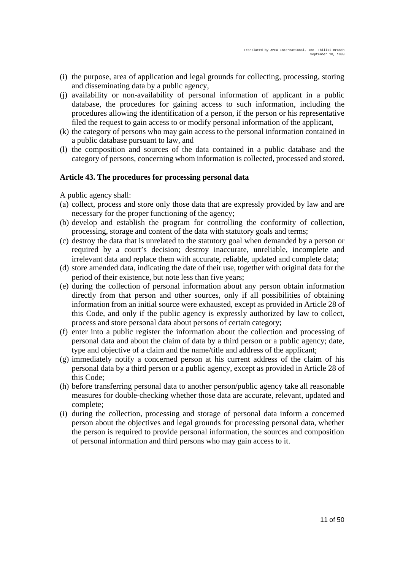- (i) the purpose, area of application and legal grounds for collecting, processing, storing and disseminating data by a public agency,
- (j) availability or non-availability of personal information of applicant in a public database, the procedures for gaining access to such information, including the procedures allowing the identification of a person, if the person or his representative filed the request to gain access to or modify personal information of the applicant,
- (k) the category of persons who may gain access to the personal information contained in a public database pursuant to law, and
- (l) the composition and sources of the data contained in a public database and the category of persons, concerning whom information is collected, processed and stored.

#### **Article 43. The procedures for processing personal data**

A public agency shall:

- (a) collect, process and store only those data that are expressly provided by law and are necessary for the proper functioning of the agency;
- (b) develop and establish the program for controlling the conformity of collection, processing, storage and content of the data with statutory goals and terms;
- (c) destroy the data that is unrelated to the statutory goal when demanded by a person or required by a court's decision; destroy inaccurate, unreliable, incomplete and irrelevant data and replace them with accurate, reliable, updated and complete data;
- (d) store amended data, indicating the date of their use, together with original data for the period of their existence, but note less than five years;
- (e) during the collection of personal information about any person obtain information directly from that person and other sources, only if all possibilities of obtaining information from an initial source were exhausted, except as provided in Article 28 of this Code, and only if the public agency is expressly authorized by law to collect, process and store personal data about persons of certain category;
- (f) enter into a public register the information about the collection and processing of personal data and about the claim of data by a third person or a public agency; date, type and objective of a claim and the name/title and address of the applicant;
- (g) immediately notify a concerned person at his current address of the claim of his personal data by a third person or a public agency, except as provided in Article 28 of this Code;
- (h) before transferring personal data to another person/public agency take all reasonable measures for double-checking whether those data are accurate, relevant, updated and complete;
- (i) during the collection, processing and storage of personal data inform a concerned person about the objectives and legal grounds for processing personal data, whether the person is required to provide personal information, the sources and composition of personal information and third persons who may gain access to it.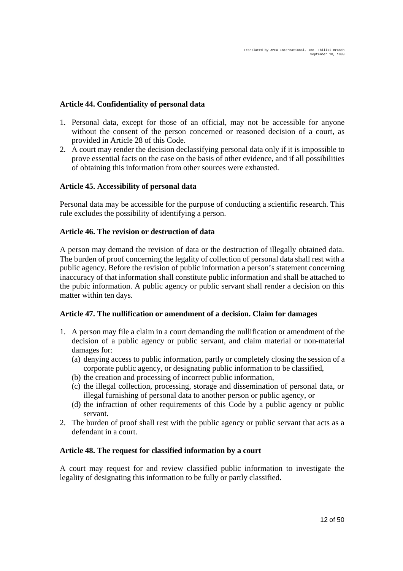# **Article 44. Confidentiality of personal data**

- 1. Personal data, except for those of an official, may not be accessible for anyone without the consent of the person concerned or reasoned decision of a court, as provided in Article 28 of this Code.
- 2. A court may render the decision declassifying personal data only if it is impossible to prove essential facts on the case on the basis of other evidence, and if all possibilities of obtaining this information from other sources were exhausted.

## **Article 45. Accessibility of personal data**

Personal data may be accessible for the purpose of conducting a scientific research. This rule excludes the possibility of identifying a person.

## **Article 46. The revision or destruction of data**

A person may demand the revision of data or the destruction of illegally obtained data. The burden of proof concerning the legality of collection of personal data shall rest with a public agency. Before the revision of public information a person's statement concerning inaccuracy of that information shall constitute public information and shall be attached to the pubic information. A public agency or public servant shall render a decision on this matter within ten days.

#### **Article 47. The nullification or amendment of a decision. Claim for damages**

- 1. A person may file a claim in a court demanding the nullification or amendment of the decision of a public agency or public servant, and claim material or non-material damages for:
	- (a) denying access to public information, partly or completely closing the session of a corporate public agency, or designating public information to be classified,
	- (b) the creation and processing of incorrect public information,
	- (c) the illegal collection, processing, storage and dissemination of personal data, or illegal furnishing of personal data to another person or public agency, or
	- (d) the infraction of other requirements of this Code by a public agency or public servant.
- 2. The burden of proof shall rest with the public agency or public servant that acts as a defendant in a court.

#### **Article 48. The request for classified information by a court**

A court may request for and review classified public information to investigate the legality of designating this information to be fully or partly classified.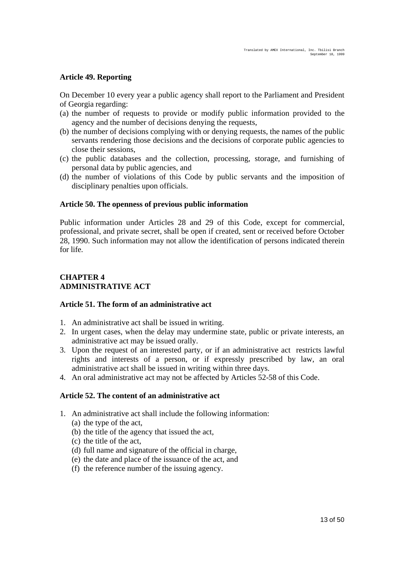#### **Article 49. Reporting**

On December 10 every year a public agency shall report to the Parliament and President of Georgia regarding:

- (a) the number of requests to provide or modify public information provided to the agency and the number of decisions denying the requests,
- (b) the number of decisions complying with or denying requests, the names of the public servants rendering those decisions and the decisions of corporate public agencies to close their sessions,
- (c) the public databases and the collection, processing, storage, and furnishing of personal data by public agencies, and
- (d) the number of violations of this Code by public servants and the imposition of disciplinary penalties upon officials.

#### **Article 50. The openness of previous public information**

Public information under Articles 28 and 29 of this Code, except for commercial, professional, and private secret, shall be open if created, sent or received before October 28, 1990. Such information may not allow the identification of persons indicated therein for life.

# **CHAPTER 4 ADMINISTRATIVE ACT**

#### **Article 51. The form of an administrative act**

- 1. An administrative act shall be issued in writing.
- 2. In urgent cases, when the delay may undermine state, public or private interests, an administrative act may be issued orally.
- 3. Upon the request of an interested party, or if an administrative act restricts lawful rights and interests of a person, or if expressly prescribed by law, an oral administrative act shall be issued in writing within three days.
- 4. An oral administrative act may not be affected by Articles 52-58 of this Code.

## **Article 52. The content of an administrative act**

- 1. An administrative act shall include the following information:
	- (a) the type of the act,
	- (b) the title of the agency that issued the act,
	- (c) the title of the act,
	- (d) full name and signature of the official in charge,
	- (e) the date and place of the issuance of the act, and
	- (f) the reference number of the issuing agency.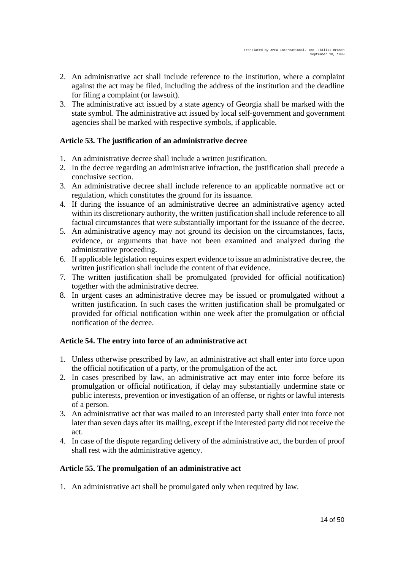- 2. An administrative act shall include reference to the institution, where a complaint against the act may be filed, including the address of the institution and the deadline for filing a complaint (or lawsuit).
- 3. The administrative act issued by a state agency of Georgia shall be marked with the state symbol. The administrative act issued by local self-government and government agencies shall be marked with respective symbols, if applicable.

# **Article 53. The justification of an administrative decree**

- 1. An administrative decree shall include a written justification.
- 2. In the decree regarding an administrative infraction, the justification shall precede a conclusive section.
- 3. An administrative decree shall include reference to an applicable normative act or regulation, which constitutes the ground for its issuance.
- 4. If during the issuance of an administrative decree an administrative agency acted within its discretionary authority, the written justification shall include reference to all factual circumstances that were substantially important for the issuance of the decree.
- 5. An administrative agency may not ground its decision on the circumstances, facts, evidence, or arguments that have not been examined and analyzed during the administrative proceeding.
- 6. If applicable legislation requires expert evidence to issue an administrative decree, the written justification shall include the content of that evidence.
- 7. The written justification shall be promulgated (provided for official notification) together with the administrative decree.
- 8. In urgent cases an administrative decree may be issued or promulgated without a written justification. In such cases the written justification shall be promulgated or provided for official notification within one week after the promulgation or official notification of the decree.

# **Article 54. The entry into force of an administrative act**

- 1. Unless otherwise prescribed by law, an administrative act shall enter into force upon the official notification of a party, or the promulgation of the act.
- 2. In cases prescribed by law, an administrative act may enter into force before its promulgation or official notification, if delay may substantially undermine state or public interests, prevention or investigation of an offense, or rights or lawful interests of a person.
- 3. An administrative act that was mailed to an interested party shall enter into force not later than seven days after its mailing, except if the interested party did not receive the act.
- 4. In case of the dispute regarding delivery of the administrative act, the burden of proof shall rest with the administrative agency.

# **Article 55. The promulgation of an administrative act**

1. An administrative act shall be promulgated only when required by law.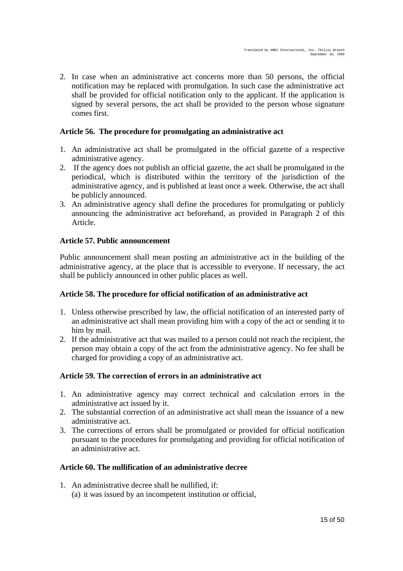2. In case when an administrative act concerns more than 50 persons, the official notification may be replaced with promulgation. In such case the administrative act shall be provided for official notification only to the applicant. If the application is signed by several persons, the act shall be provided to the person whose signature comes first.

## **Article 56. The procedure for promulgating an administrative act**

- 1. An administrative act shall be promulgated in the official gazette of a respective administrative agency.
- 2. If the agency does not publish an official gazette, the act shall be promulgated in the periodical, which is distributed within the territory of the jurisdiction of the administrative agency, and is published at least once a week. Otherwise, the act shall be publicly announced.
- 3. An administrative agency shall define the procedures for promulgating or publicly announcing the administrative act beforehand, as provided in Paragraph 2 of this Article.

## **Article 57. Public announcement**

Public announcement shall mean posting an administrative act in the building of the administrative agency, at the place that is accessible to everyone. If necessary, the act shall be publicly announced in other public places as well.

#### **Article 58. The procedure for official notification of an administrative act**

- 1. Unless otherwise prescribed by law, the official notification of an interested party of an administrative act shall mean providing him with a copy of the act or sending it to him by mail.
- 2. If the administrative act that was mailed to a person could not reach the recipient, the person may obtain a copy of the act from the administrative agency. No fee shall be charged for providing a copy of an administrative act.

## **Article 59. The correction of errors in an administrative act**

- 1. An administrative agency may correct technical and calculation errors in the administrative act issued by it.
- 2. The substantial correction of an administrative act shall mean the issuance of a new administrative act.
- 3. The corrections of errors shall be promulgated or provided for official notification pursuant to the procedures for promulgating and providing for official notification of an administrative act.

#### **Article 60. The nullification of an administrative decree**

1. An administrative decree shall be nullified, if: (a) it was issued by an incompetent institution or official,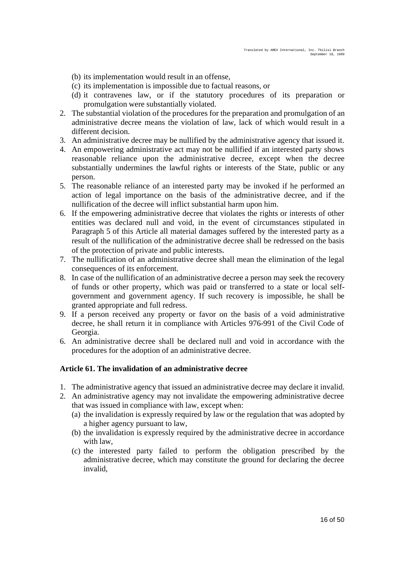- (b) its implementation would result in an offense,
- (c) its implementation is impossible due to factual reasons, or
- (d) it contravenes law, or if the statutory procedures of its preparation or promulgation were substantially violated.
- 2. The substantial violation of the procedures for the preparation and promulgation of an administrative decree means the violation of law, lack of which would result in a different decision.
- 3. An administrative decree may be nullified by the administrative agency that issued it.
- 4. An empowering administrative act may not be nullified if an interested party shows reasonable reliance upon the administrative decree, except when the decree substantially undermines the lawful rights or interests of the State, public or any person.
- 5. The reasonable reliance of an interested party may be invoked if he performed an action of legal importance on the basis of the administrative decree, and if the nullification of the decree will inflict substantial harm upon him.
- 6. If the empowering administrative decree that violates the rights or interests of other entities was declared null and void, in the event of circumstances stipulated in Paragraph 5 of this Article all material damages suffered by the interested party as a result of the nullification of the administrative decree shall be redressed on the basis of the protection of private and public interests.
- 7. The nullification of an administrative decree shall mean the elimination of the legal consequences of its enforcement.
- 8. In case of the nullification of an administrative decree a person may seek the recovery of funds or other property, which was paid or transferred to a state or local selfgovernment and government agency. If such recovery is impossible, he shall be granted appropriate and full redress.
- 9. If a person received any property or favor on the basis of a void administrative decree, he shall return it in compliance with Articles 976-991 of the Civil Code of Georgia.
- 6. An administrative decree shall be declared null and void in accordance with the procedures for the adoption of an administrative decree.

# **Article 61. The invalidation of an administrative decree**

- 1. The administrative agency that issued an administrative decree may declare it invalid.
- 2. An administrative agency may not invalidate the empowering administrative decree that was issued in compliance with law, except when:
	- (a) the invalidation is expressly required by law or the regulation that was adopted by a higher agency pursuant to law,
	- (b) the invalidation is expressly required by the administrative decree in accordance with law,
	- (c) the interested party failed to perform the obligation prescribed by the administrative decree, which may constitute the ground for declaring the decree invalid,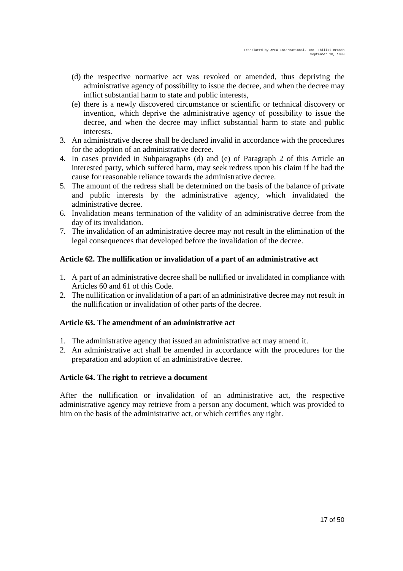- (d) the respective normative act was revoked or amended, thus depriving the administrative agency of possibility to issue the decree, and when the decree may inflict substantial harm to state and public interests,
- (e) there is a newly discovered circumstance or scientific or technical discovery or invention, which deprive the administrative agency of possibility to issue the decree, and when the decree may inflict substantial harm to state and public interests.
- 3. An administrative decree shall be declared invalid in accordance with the procedures for the adoption of an administrative decree.
- 4. In cases provided in Subparagraphs (d) and (e) of Paragraph 2 of this Article an interested party, which suffered harm, may seek redress upon his claim if he had the cause for reasonable reliance towards the administrative decree.
- 5. The amount of the redress shall be determined on the basis of the balance of private and public interests by the administrative agency, which invalidated the administrative decree.
- 6. Invalidation means termination of the validity of an administrative decree from the day of its invalidation.
- 7. The invalidation of an administrative decree may not result in the elimination of the legal consequences that developed before the invalidation of the decree.

## **Article 62. The nullification or invalidation of a part of an administrative act**

- 1. A part of an administrative decree shall be nullified or invalidated in compliance with Articles 60 and 61 of this Code.
- 2. The nullification or invalidation of a part of an administrative decree may not result in the nullification or invalidation of other parts of the decree.

# **Article 63. The amendment of an administrative act**

- 1. The administrative agency that issued an administrative act may amend it.
- 2. An administrative act shall be amended in accordance with the procedures for the preparation and adoption of an administrative decree.

#### **Article 64. The right to retrieve a document**

After the nullification or invalidation of an administrative act, the respective administrative agency may retrieve from a person any document, which was provided to him on the basis of the administrative act, or which certifies any right.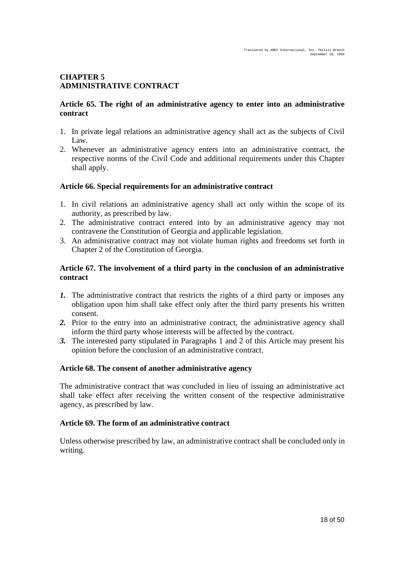# **CHAPTER 5 ADMINISTRATIVE CONTRACT**

## **Article 65. The right of an administrative agency to enter into an administrative contract**

- 1. In private legal relations an administrative agency shall act as the subjects of Civil Law.
- 2. Whenever an administrative agency enters into an administrative contract, the respective norms of the Civil Code and additional requirements under this Chapter shall apply.

## **Article 66. Special requirements for an administrative contract**

- 1. In civil relations an administrative agency shall act only within the scope of its authority, as prescribed by law.
- 2. The administrative contract entered into by an administrative agency may not contravene the Constitution of Georgia and applicable legislation.
- 3. An administrative contract may not violate human rights and freedoms set forth in Chapter 2 of the Constitution of Georgia.

# **Article 67. The involvement of a third party in the conclusion of an administrative contract**

- *1.* The administrative contract that restricts the rights of a third party or imposes any obligation upon him shall take effect only after the third party presents his written consent.
- *2.* Prior to the entry into an administrative contract, the administrative agency shall inform the third party whose interests will be affected by the contract.
- *3.* The interested party stipulated in Paragraphs 1 and 2 of this Article may present his opinion before the conclusion of an administrative contract.

#### **Article 68. The consent of another administrative agency**

The administrative contract that was concluded in lieu of issuing an administrative act shall take effect after receiving the written consent of the respective administrative agency, as prescribed by law.

# **Article 69. The form of an administrative contract**

Unless otherwise prescribed by law, an administrative contract shall be concluded only in writing.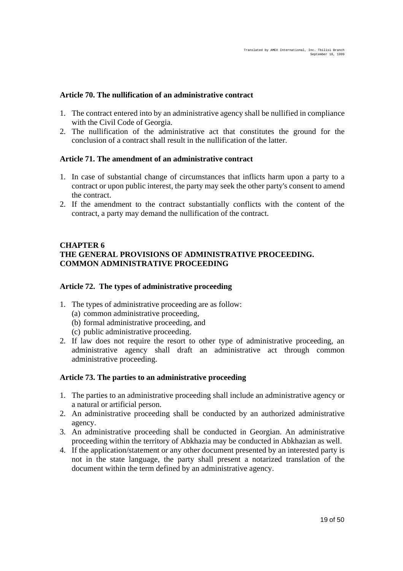## **Article 70. The nullification of an administrative contract**

- 1. The contract entered into by an administrative agency shall be nullified in compliance with the Civil Code of Georgia.
- 2. The nullification of the administrative act that constitutes the ground for the conclusion of a contract shall result in the nullification of the latter.

## **Article 71. The amendment of an administrative contract**

- 1. In case of substantial change of circumstances that inflicts harm upon a party to a contract or upon public interest, the party may seek the other party's consent to amend the contract.
- 2. If the amendment to the contract substantially conflicts with the content of the contract, a party may demand the nullification of the contract.

# **CHAPTER 6 THE GENERAL PROVISIONS OF ADMINISTRATIVE PROCEEDING. COMMON ADMINISTRATIVE PROCEEDING**

#### **Article 72. The types of administrative proceeding**

- 1. The types of administrative proceeding are as follow:
	- (a) common administrative proceeding,
	- (b) formal administrative proceeding, and
	- (c) public administrative proceeding.
- 2. If law does not require the resort to other type of administrative proceeding, an administrative agency shall draft an administrative act through common administrative proceeding.

# **Article 73. The parties to an administrative proceeding**

- 1. The parties to an administrative proceeding shall include an administrative agency or a natural or artificial person.
- 2. An administrative proceeding shall be conducted by an authorized administrative agency.
- 3. An administrative proceeding shall be conducted in Georgian. An administrative proceeding within the territory of Abkhazia may be conducted in Abkhazian as well.
- 4. If the application/statement or any other document presented by an interested party is not in the state language, the party shall present a notarized translation of the document within the term defined by an administrative agency.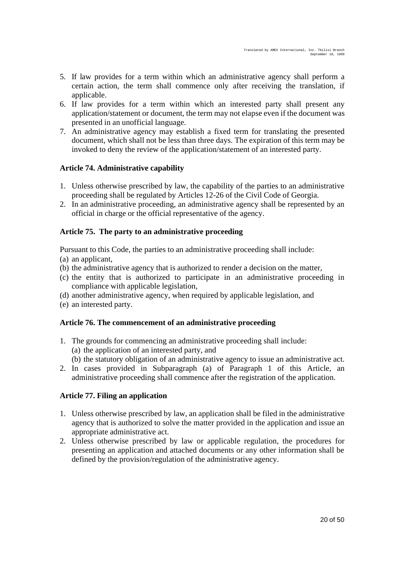- 5. If law provides for a term within which an administrative agency shall perform a certain action, the term shall commence only after receiving the translation, if applicable.
- 6. If law provides for a term within which an interested party shall present any application/statement or document, the term may not elapse even if the document was presented in an unofficial language.
- 7. An administrative agency may establish a fixed term for translating the presented document, which shall not be less than three days. The expiration of this term may be invoked to deny the review of the application/statement of an interested party.

## **Article 74. Administrative capability**

- 1. Unless otherwise prescribed by law, the capability of the parties to an administrative proceeding shall be regulated by Articles 12-26 of the Civil Code of Georgia.
- 2. In an administrative proceeding, an administrative agency shall be represented by an official in charge or the official representative of the agency.

## **Article 75. The party to an administrative proceeding**

Pursuant to this Code, the parties to an administrative proceeding shall include: (a) an applicant,

- (b) the administrative agency that is authorized to render a decision on the matter,
- (c) the entity that is authorized to participate in an administrative proceeding in compliance with applicable legislation,
- (d) another administrative agency, when required by applicable legislation, and
- (e) an interested party.

#### **Article 76. The commencement of an administrative proceeding**

- 1. The grounds for commencing an administrative proceeding shall include: (a) the application of an interested party, and
	- (b) the statutory obligation of an administrative agency to issue an administrative act.
- 2. In cases provided in Subparagraph (a) of Paragraph 1 of this Article, an administrative proceeding shall commence after the registration of the application.

# **Article 77. Filing an application**

- 1. Unless otherwise prescribed by law, an application shall be filed in the administrative agency that is authorized to solve the matter provided in the application and issue an appropriate administrative act.
- 2. Unless otherwise prescribed by law or applicable regulation, the procedures for presenting an application and attached documents or any other information shall be defined by the provision/regulation of the administrative agency.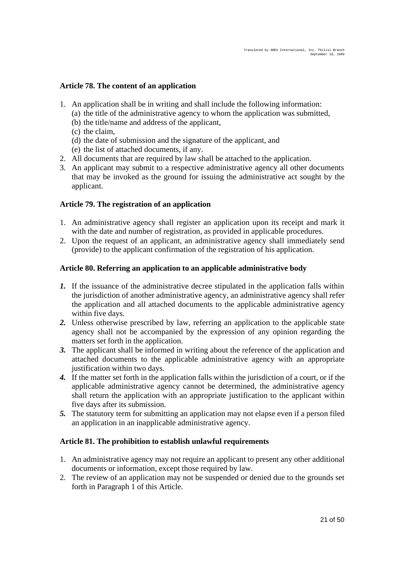## **Article 78. The content of an application**

- 1. An application shall be in writing and shall include the following information:
	- (a) the title of the administrative agency to whom the application was submitted,
		- (b) the title/name and address of the applicant,
		- (c) the claim,
		- (d) the date of submission and the signature of the applicant, and
	- (e) the list of attached documents, if any.
- 2. All documents that are required by law shall be attached to the application.
- 3. An applicant may submit to a respective administrative agency all other documents that may be invoked as the ground for issuing the administrative act sought by the applicant.

## **Article 79. The registration of an application**

- 1. An administrative agency shall register an application upon its receipt and mark it with the date and number of registration, as provided in applicable procedures.
- 2. Upon the request of an applicant, an administrative agency shall immediately send (provide) to the applicant confirmation of the registration of his application.

# **Article 80. Referring an application to an applicable administrative body**

- *1.* If the issuance of the administrative decree stipulated in the application falls within the jurisdiction of another administrative agency, an administrative agency shall refer the application and all attached documents to the applicable administrative agency within five days.
- *2.* Unless otherwise prescribed by law, referring an application to the applicable state agency shall not be accompanied by the expression of any opinion regarding the matters set forth in the application.
- *3.* The applicant shall be informed in writing about the reference of the application and attached documents to the applicable administrative agency with an appropriate justification within two days.
- *4.* If the matter set forth in the application falls within the jurisdiction of a court, or if the applicable administrative agency cannot be determined, the administrative agency shall return the application with an appropriate justification to the applicant within five days after its submission.
- *5.* The statutory term for submitting an application may not elapse even if a person filed an application in an inapplicable administrative agency.

#### **Article 81. The prohibition to establish unlawful requirements**

- 1. An administrative agency may not require an applicant to present any other additional documents or information, except those required by law.
- 2. The review of an application may not be suspended or denied due to the grounds set forth in Paragraph 1 of this Article.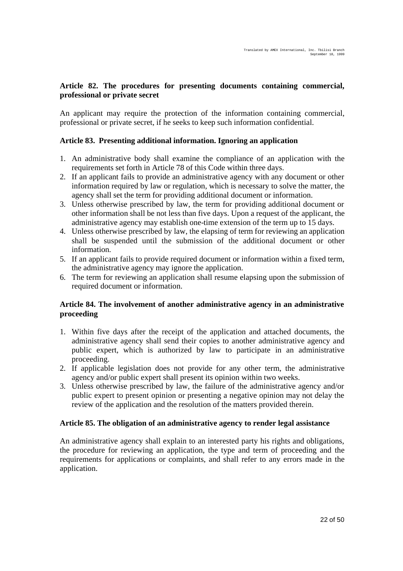# **Article 82. The procedures for presenting documents containing commercial, professional or private secret**

An applicant may require the protection of the information containing commercial, professional or private secret, if he seeks to keep such information confidential.

## **Article 83. Presenting additional information. Ignoring an application**

- 1. An administrative body shall examine the compliance of an application with the requirements set forth in Article 78 of this Code within three days.
- 2. If an applicant fails to provide an administrative agency with any document or other information required by law or regulation, which is necessary to solve the matter, the agency shall set the term for providing additional document or information.
- 3. Unless otherwise prescribed by law, the term for providing additional document or other information shall be not less than five days. Upon a request of the applicant, the administrative agency may establish one-time extension of the term up to 15 days.
- 4. Unless otherwise prescribed by law, the elapsing of term for reviewing an application shall be suspended until the submission of the additional document or other information.
- 5. If an applicant fails to provide required document or information within a fixed term, the administrative agency may ignore the application.
- 6. The term for reviewing an application shall resume elapsing upon the submission of required document or information.

# **Article 84. The involvement of another administrative agency in an administrative proceeding**

- 1. Within five days after the receipt of the application and attached documents, the administrative agency shall send their copies to another administrative agency and public expert, which is authorized by law to participate in an administrative proceeding.
- 2. If applicable legislation does not provide for any other term, the administrative agency and/or public expert shall present its opinion within two weeks.
- 3. Unless otherwise prescribed by law, the failure of the administrative agency and/or public expert to present opinion or presenting a negative opinion may not delay the review of the application and the resolution of the matters provided therein.

#### **Article 85. The obligation of an administrative agency to render legal assistance**

An administrative agency shall explain to an interested party his rights and obligations, the procedure for reviewing an application, the type and term of proceeding and the requirements for applications or complaints, and shall refer to any errors made in the application.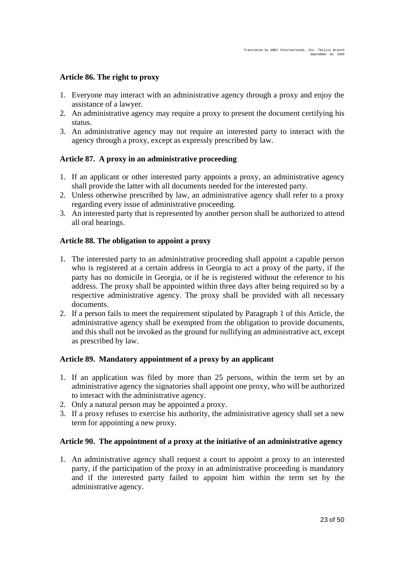#### **Article 86. The right to proxy**

- 1. Everyone may interact with an administrative agency through a proxy and enjoy the assistance of a lawyer.
- 2. An administrative agency may require a proxy to present the document certifying his status.
- 3. An administrative agency may not require an interested party to interact with the agency through a proxy, except as expressly prescribed by law.

# **Article 87. A proxy in an administrative proceeding**

- 1. If an applicant or other interested party appoints a proxy, an administrative agency shall provide the latter with all documents needed for the interested party.
- 2. Unless otherwise prescribed by law, an administrative agency shall refer to a proxy regarding every issue of administrative proceeding.
- 3. An interested party that is represented by another person shall be authorized to attend all oral hearings.

# **Article 88. The obligation to appoint a proxy**

- 1. The interested party to an administrative proceeding shall appoint a capable person who is registered at a certain address in Georgia to act a proxy of the party, if the party has no domicile in Georgia, or if he is registered without the reference to his address. The proxy shall be appointed within three days after being required so by a respective administrative agency. The proxy shall be provided with all necessary documents.
- 2. If a person fails to meet the requirement stipulated by Paragraph 1 of this Article, the administrative agency shall be exempted from the obligation to provide documents, and this shall not be invoked as the ground for nullifying an administrative act, except as prescribed by law.

# **Article 89. Mandatory appointment of a proxy by an applicant**

- 1. If an application was filed by more than 25 persons, within the term set by an administrative agency the signatories shall appoint one proxy, who will be authorized to interact with the administrative agency.
- 2. Only a natural person may be appointed a proxy.
- 3. If a proxy refuses to exercise his authority, the administrative agency shall set a new term for appointing a new proxy.

#### **Article 90. The appointment of a proxy at the initiative of an administrative agency**

1. An administrative agency shall request a court to appoint a proxy to an interested party, if the participation of the proxy in an administrative proceeding is mandatory and if the interested party failed to appoint him within the term set by the administrative agency.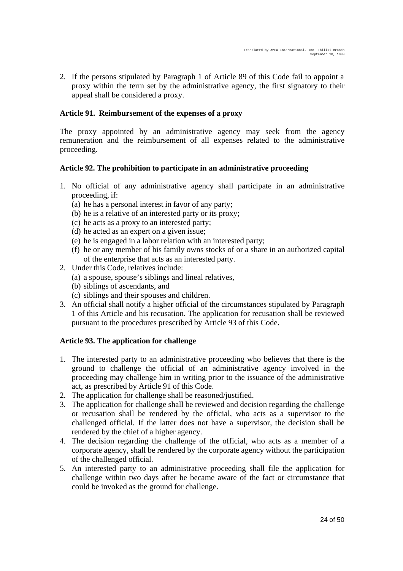2. If the persons stipulated by Paragraph 1 of Article 89 of this Code fail to appoint a proxy within the term set by the administrative agency, the first signatory to their appeal shall be considered a proxy.

## **Article 91. Reimbursement of the expenses of a proxy**

The proxy appointed by an administrative agency may seek from the agency remuneration and the reimbursement of all expenses related to the administrative proceeding.

## **Article 92. The prohibition to participate in an administrative proceeding**

- 1. No official of any administrative agency shall participate in an administrative proceeding, if:
	- (a) he has a personal interest in favor of any party;
	- (b) he is a relative of an interested party or its proxy;
	- (c) he acts as a proxy to an interested party;
	- (d) he acted as an expert on a given issue;
	- (e) he is engaged in a labor relation with an interested party;
	- (f) he or any member of his family owns stocks of or a share in an authorized capital of the enterprise that acts as an interested party.
- 2. Under this Code, relatives include:
	- (a) a spouse, spouse's siblings and lineal relatives,
	- (b) siblings of ascendants, and
	- (c) siblings and their spouses and children.
- 3. An official shall notify a higher official of the circumstances stipulated by Paragraph 1 of this Article and his recusation. The application for recusation shall be reviewed pursuant to the procedures prescribed by Article 93 of this Code.

#### **Article 93. The application for challenge**

- 1. The interested party to an administrative proceeding who believes that there is the ground to challenge the official of an administrative agency involved in the proceeding may challenge him in writing prior to the issuance of the administrative act, as prescribed by Article 91 of this Code.
- 2. The application for challenge shall be reasoned/justified.
- 3. The application for challenge shall be reviewed and decision regarding the challenge or recusation shall be rendered by the official, who acts as a supervisor to the challenged official. If the latter does not have a supervisor, the decision shall be rendered by the chief of a higher agency.
- 4. The decision regarding the challenge of the official, who acts as a member of a corporate agency, shall be rendered by the corporate agency without the participation of the challenged official.
- 5. An interested party to an administrative proceeding shall file the application for challenge within two days after he became aware of the fact or circumstance that could be invoked as the ground for challenge.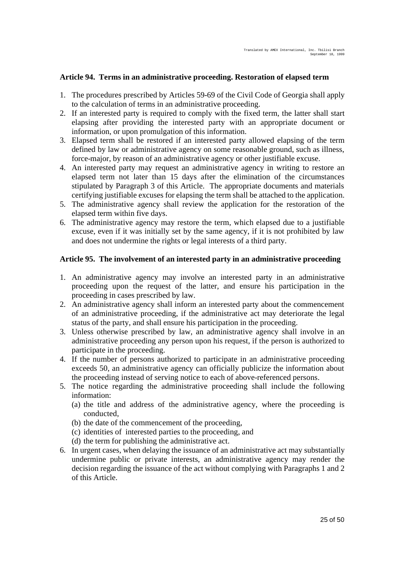#### **Article 94. Terms in an administrative proceeding. Restoration of elapsed term**

- 1. The procedures prescribed by Articles 59-69 of the Civil Code of Georgia shall apply to the calculation of terms in an administrative proceeding.
- 2. If an interested party is required to comply with the fixed term, the latter shall start elapsing after providing the interested party with an appropriate document or information, or upon promulgation of this information.
- 3. Elapsed term shall be restored if an interested party allowed elapsing of the term defined by law or administrative agency on some reasonable ground, such as illness, force-major, by reason of an administrative agency or other justifiable excuse.
- 4. An interested party may request an administrative agency in writing to restore an elapsed term not later than 15 days after the elimination of the circumstances stipulated by Paragraph 3 of this Article. The appropriate documents and materials certifying justifiable excuses for elapsing the term shall be attached to the application.
- 5. The administrative agency shall review the application for the restoration of the elapsed term within five days.
- 6. The administrative agency may restore the term, which elapsed due to a justifiable excuse, even if it was initially set by the same agency, if it is not prohibited by law and does not undermine the rights or legal interests of a third party.

#### **Article 95. The involvement of an interested party in an administrative proceeding**

- 1. An administrative agency may involve an interested party in an administrative proceeding upon the request of the latter, and ensure his participation in the proceeding in cases prescribed by law.
- 2. An administrative agency shall inform an interested party about the commencement of an administrative proceeding, if the administrative act may deteriorate the legal status of the party, and shall ensure his participation in the proceeding.
- 3. Unless otherwise prescribed by law, an administrative agency shall involve in an administrative proceeding any person upon his request, if the person is authorized to participate in the proceeding.
- 4. If the number of persons authorized to participate in an administrative proceeding exceeds 50, an administrative agency can officially publicize the information about the proceeding instead of serving notice to each of above-referenced persons.
- 5. The notice regarding the administrative proceeding shall include the following information:
	- (a) the title and address of the administrative agency, where the proceeding is conducted,
	- (b) the date of the commencement of the proceeding,
	- (c) identities of interested parties to the proceeding, and
	- (d) the term for publishing the administrative act.
- 6. In urgent cases, when delaying the issuance of an administrative act may substantially undermine public or private interests, an administrative agency may render the decision regarding the issuance of the act without complying with Paragraphs 1 and 2 of this Article.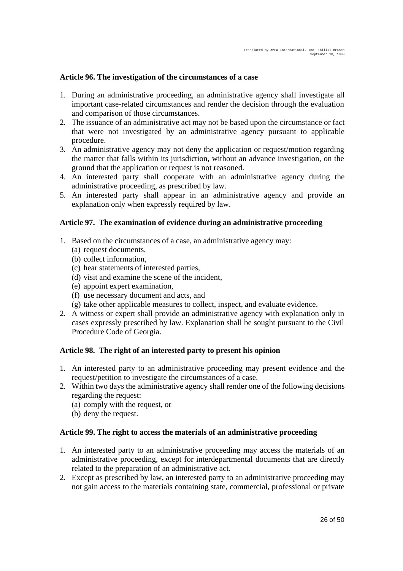# **Article 96. The investigation of the circumstances of a case**

- 1. During an administrative proceeding, an administrative agency shall investigate all important case-related circumstances and render the decision through the evaluation and comparison of those circumstances.
- 2. The issuance of an administrative act may not be based upon the circumstance or fact that were not investigated by an administrative agency pursuant to applicable procedure.
- 3. An administrative agency may not deny the application or request/motion regarding the matter that falls within its jurisdiction, without an advance investigation, on the ground that the application or request is not reasoned.
- 4. An interested party shall cooperate with an administrative agency during the administrative proceeding, as prescribed by law.
- 5. An interested party shall appear in an administrative agency and provide an explanation only when expressly required by law.

# **Article 97. The examination of evidence during an administrative proceeding**

- 1. Based on the circumstances of a case, an administrative agency may:
	- (a) request documents,
	- (b) collect information,
	- (c) hear statements of interested parties,
	- (d) visit and examine the scene of the incident,
	- (e) appoint expert examination,
	- (f) use necessary document and acts, and
	- (g) take other applicable measures to collect, inspect, and evaluate evidence.
- 2. A witness or expert shall provide an administrative agency with explanation only in cases expressly prescribed by law. Explanation shall be sought pursuant to the Civil Procedure Code of Georgia.

# **Article 98. The right of an interested party to present his opinion**

- 1. An interested party to an administrative proceeding may present evidence and the request/petition to investigate the circumstances of a case.
- 2. Within two days the administrative agency shall render one of the following decisions regarding the request:
	- (a) comply with the request, or
	- (b) deny the request.

# **Article 99. The right to access the materials of an administrative proceeding**

- 1. An interested party to an administrative proceeding may access the materials of an administrative proceeding, except for interdepartmental documents that are directly related to the preparation of an administrative act.
- 2. Except as prescribed by law, an interested party to an administrative proceeding may not gain access to the materials containing state, commercial, professional or private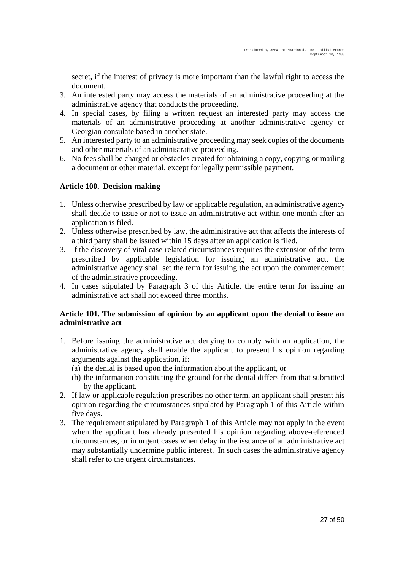secret, if the interest of privacy is more important than the lawful right to access the document.

- 3. An interested party may access the materials of an administrative proceeding at the administrative agency that conducts the proceeding.
- 4. In special cases, by filing a written request an interested party may access the materials of an administrative proceeding at another administrative agency or Georgian consulate based in another state.
- 5. An interested party to an administrative proceeding may seek copies of the documents and other materials of an administrative proceeding.
- 6. No fees shall be charged or obstacles created for obtaining a copy, copying or mailing a document or other material, except for legally permissible payment.

## **Article 100. Decision-making**

- 1. Unless otherwise prescribed by law or applicable regulation, an administrative agency shall decide to issue or not to issue an administrative act within one month after an application is filed.
- 2. Unless otherwise prescribed by law, the administrative act that affects the interests of a third party shall be issued within 15 days after an application is filed.
- 3. If the discovery of vital case-related circumstances requires the extension of the term prescribed by applicable legislation for issuing an administrative act, the administrative agency shall set the term for issuing the act upon the commencement of the administrative proceeding.
- 4. In cases stipulated by Paragraph 3 of this Article, the entire term for issuing an administrative act shall not exceed three months.

# **Article 101. The submission of opinion by an applicant upon the denial to issue an administrative act**

- 1. Before issuing the administrative act denying to comply with an application, the administrative agency shall enable the applicant to present his opinion regarding arguments against the application, if:
	- (a) the denial is based upon the information about the applicant, or
	- (b) the information constituting the ground for the denial differs from that submitted by the applicant.
- 2. If law or applicable regulation prescribes no other term, an applicant shall present his opinion regarding the circumstances stipulated by Paragraph 1 of this Article within five days.
- 3. The requirement stipulated by Paragraph 1 of this Article may not apply in the event when the applicant has already presented his opinion regarding above-referenced circumstances, or in urgent cases when delay in the issuance of an administrative act may substantially undermine public interest. In such cases the administrative agency shall refer to the urgent circumstances.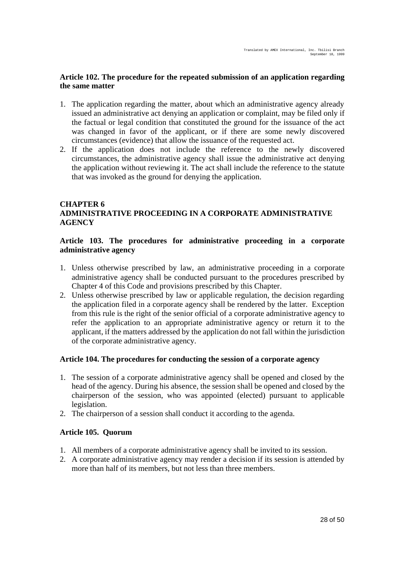## **Article 102. The procedure for the repeated submission of an application regarding the same matter**

- 1. The application regarding the matter, about which an administrative agency already issued an administrative act denying an application or complaint, may be filed only if the factual or legal condition that constituted the ground for the issuance of the act was changed in favor of the applicant, or if there are some newly discovered circumstances (evidence) that allow the issuance of the requested act.
- 2. If the application does not include the reference to the newly discovered circumstances, the administrative agency shall issue the administrative act denying the application without reviewing it. The act shall include the reference to the statute that was invoked as the ground for denying the application.

# **CHAPTER 6 ADMINISTRATIVE PROCEEDING IN A CORPORATE ADMINISTRATIVE AGENCY**

# **Article 103. The procedures for administrative proceeding in a corporate administrative agency**

- 1. Unless otherwise prescribed by law, an administrative proceeding in a corporate administrative agency shall be conducted pursuant to the procedures prescribed by Chapter 4 of this Code and provisions prescribed by this Chapter.
- 2. Unless otherwise prescribed by law or applicable regulation, the decision regarding the application filed in a corporate agency shall be rendered by the latter. Exception from this rule is the right of the senior official of a corporate administrative agency to refer the application to an appropriate administrative agency or return it to the applicant, if the matters addressed by the application do not fall within the jurisdiction of the corporate administrative agency.

#### **Article 104. The procedures for conducting the session of a corporate agency**

- 1. The session of a corporate administrative agency shall be opened and closed by the head of the agency. During his absence, the session shall be opened and closed by the chairperson of the session, who was appointed (elected) pursuant to applicable legislation.
- 2. The chairperson of a session shall conduct it according to the agenda.

# **Article 105. Quorum**

- 1. All members of a corporate administrative agency shall be invited to its session.
- 2. A corporate administrative agency may render a decision if its session is attended by more than half of its members, but not less than three members.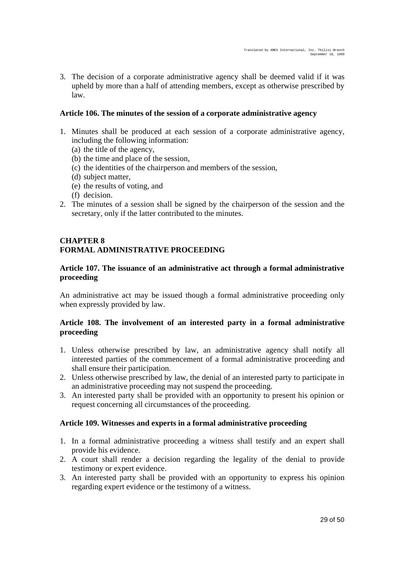3. The decision of a corporate administrative agency shall be deemed valid if it was upheld by more than a half of attending members, except as otherwise prescribed by law.

#### **Article 106. The minutes of the session of a corporate administrative agency**

- 1. Minutes shall be produced at each session of a corporate administrative agency, including the following information:
	- (a) the title of the agency,
	- (b) the time and place of the session,
	- (c) the identities of the chairperson and members of the session,
	- (d) subject matter,
	- (e) the results of voting, and
	- (f) decision.
- 2. The minutes of a session shall be signed by the chairperson of the session and the secretary, only if the latter contributed to the minutes.

## **CHAPTER 8 FORMAL ADMINISTRATIVE PROCEEDING**

# **Article 107. The issuance of an administrative act through a formal administrative proceeding**

An administrative act may be issued though a formal administrative proceeding only when expressly provided by law.

## **Article 108. The involvement of an interested party in a formal administrative proceeding**

- 1. Unless otherwise prescribed by law, an administrative agency shall notify all interested parties of the commencement of a formal administrative proceeding and shall ensure their participation.
- 2. Unless otherwise prescribed by law, the denial of an interested party to participate in an administrative proceeding may not suspend the proceeding.
- 3. An interested party shall be provided with an opportunity to present his opinion or request concerning all circumstances of the proceeding.

#### **Article 109. Witnesses and experts in a formal administrative proceeding**

- 1. In a formal administrative proceeding a witness shall testify and an expert shall provide his evidence.
- 2. A court shall render a decision regarding the legality of the denial to provide testimony or expert evidence.
- 3. An interested party shall be provided with an opportunity to express his opinion regarding expert evidence or the testimony of a witness.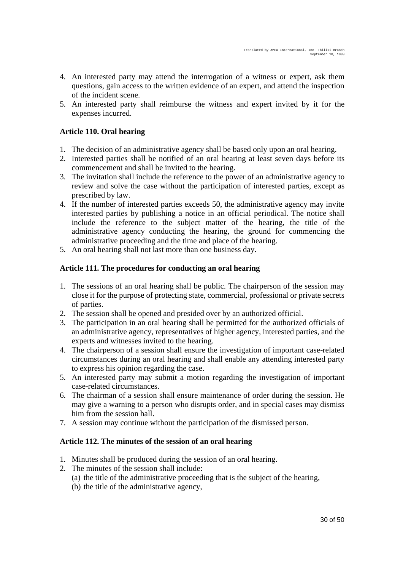- 4. An interested party may attend the interrogation of a witness or expert, ask them questions, gain access to the written evidence of an expert, and attend the inspection of the incident scene.
- 5. An interested party shall reimburse the witness and expert invited by it for the expenses incurred.

# **Article 110. Oral hearing**

- 1. The decision of an administrative agency shall be based only upon an oral hearing.
- 2. Interested parties shall be notified of an oral hearing at least seven days before its commencement and shall be invited to the hearing.
- 3. The invitation shall include the reference to the power of an administrative agency to review and solve the case without the participation of interested parties, except as prescribed by law.
- 4. If the number of interested parties exceeds 50, the administrative agency may invite interested parties by publishing a notice in an official periodical. The notice shall include the reference to the subject matter of the hearing, the title of the administrative agency conducting the hearing, the ground for commencing the administrative proceeding and the time and place of the hearing.
- 5. An oral hearing shall not last more than one business day.

# **Article 111. The procedures for conducting an oral hearing**

- 1. The sessions of an oral hearing shall be public. The chairperson of the session may close it for the purpose of protecting state, commercial, professional or private secrets of parties.
- 2. The session shall be opened and presided over by an authorized official.
- 3. The participation in an oral hearing shall be permitted for the authorized officials of an administrative agency, representatives of higher agency, interested parties, and the experts and witnesses invited to the hearing.
- 4. The chairperson of a session shall ensure the investigation of important case-related circumstances during an oral hearing and shall enable any attending interested party to express his opinion regarding the case.
- 5. An interested party may submit a motion regarding the investigation of important case-related circumstances.
- 6. The chairman of a session shall ensure maintenance of order during the session. He may give a warning to a person who disrupts order, and in special cases may dismiss him from the session hall.
- 7. A session may continue without the participation of the dismissed person.

# **Article 112. The minutes of the session of an oral hearing**

- 1. Minutes shall be produced during the session of an oral hearing.
- 2. The minutes of the session shall include:
	- (a) the title of the administrative proceeding that is the subject of the hearing,
	- (b) the title of the administrative agency,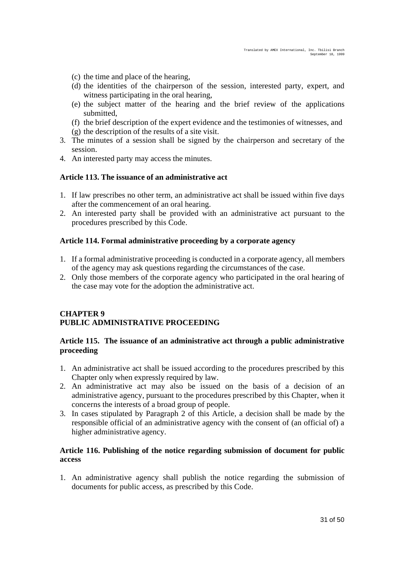- (c) the time and place of the hearing,
- (d) the identities of the chairperson of the session, interested party, expert, and witness participating in the oral hearing,
- (e) the subject matter of the hearing and the brief review of the applications submitted,
- (f) the brief description of the expert evidence and the testimonies of witnesses, and (g) the description of the results of a site visit.
- 3. The minutes of a session shall be signed by the chairperson and secretary of the session.
- 4. An interested party may access the minutes.

#### **Article 113. The issuance of an administrative act**

- 1. If law prescribes no other term, an administrative act shall be issued within five days after the commencement of an oral hearing.
- 2. An interested party shall be provided with an administrative act pursuant to the procedures prescribed by this Code.

#### **Article 114. Formal administrative proceeding by a corporate agency**

- 1. If a formal administrative proceeding is conducted in a corporate agency, all members of the agency may ask questions regarding the circumstances of the case.
- 2. Only those members of the corporate agency who participated in the oral hearing of the case may vote for the adoption the administrative act.

## **CHAPTER 9 PUBLIC ADMINISTRATIVE PROCEEDING**

## **Article 115. The issuance of an administrative act through a public administrative proceeding**

- 1. An administrative act shall be issued according to the procedures prescribed by this Chapter only when expressly required by law.
- 2. An administrative act may also be issued on the basis of a decision of an administrative agency, pursuant to the procedures prescribed by this Chapter, when it concerns the interests of a broad group of people.
- 3. In cases stipulated by Paragraph 2 of this Article, a decision shall be made by the responsible official of an administrative agency with the consent of (an official of) a higher administrative agency.

## **Article 116. Publishing of the notice regarding submission of document for public access**

1. An administrative agency shall publish the notice regarding the submission of documents for public access, as prescribed by this Code.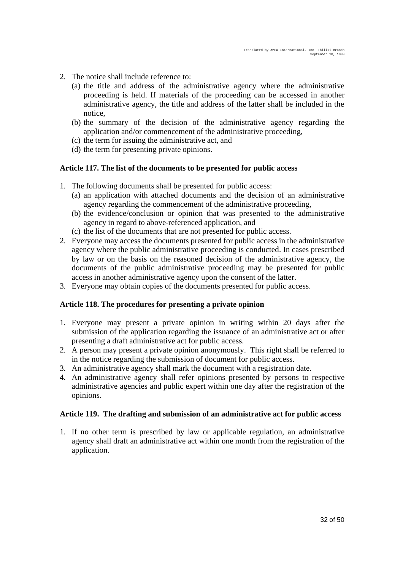- 2. The notice shall include reference to:
	- (a) the title and address of the administrative agency where the administrative proceeding is held. If materials of the proceeding can be accessed in another administrative agency, the title and address of the latter shall be included in the notice,
	- (b) the summary of the decision of the administrative agency regarding the application and/or commencement of the administrative proceeding,
	- (c) the term for issuing the administrative act, and
	- (d) the term for presenting private opinions.

## **Article 117. The list of the documents to be presented for public access**

- 1. The following documents shall be presented for public access:
	- (a) an application with attached documents and the decision of an administrative agency regarding the commencement of the administrative proceeding,
	- (b) the evidence/conclusion or opinion that was presented to the administrative agency in regard to above-referenced application, and
	- (c) the list of the documents that are not presented for public access.
- 2. Everyone may access the documents presented for public access in the administrative agency where the public administrative proceeding is conducted. In cases prescribed by law or on the basis on the reasoned decision of the administrative agency, the documents of the public administrative proceeding may be presented for public access in another administrative agency upon the consent of the latter.
- 3. Everyone may obtain copies of the documents presented for public access.

#### **Article 118. The procedures for presenting a private opinion**

- 1. Everyone may present a private opinion in writing within 20 days after the submission of the application regarding the issuance of an administrative act or after presenting a draft administrative act for public access.
- 2. A person may present a private opinion anonymously. This right shall be referred to in the notice regarding the submission of document for public access.
- 3. An administrative agency shall mark the document with a registration date.
- 4. An administrative agency shall refer opinions presented by persons to respective administrative agencies and public expert within one day after the registration of the opinions.

#### **Article 119. The drafting and submission of an administrative act for public access**

1. If no other term is prescribed by law or applicable regulation, an administrative agency shall draft an administrative act within one month from the registration of the application.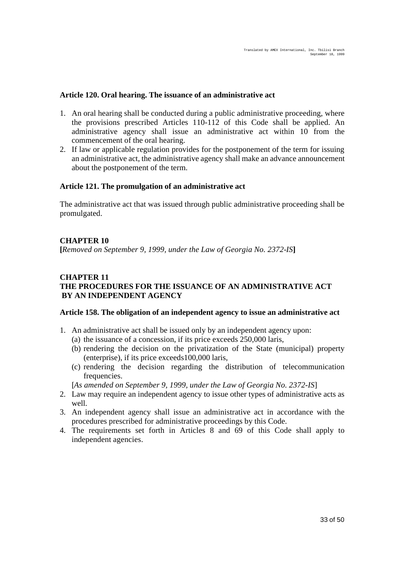#### **Article 120. Oral hearing. The issuance of an administrative act**

- 1. An oral hearing shall be conducted during a public administrative proceeding, where the provisions prescribed Articles 110-112 of this Code shall be applied. An administrative agency shall issue an administrative act within 10 from the commencement of the oral hearing.
- 2. If law or applicable regulation provides for the postponement of the term for issuing an administrative act, the administrative agency shall make an advance announcement about the postponement of the term.

## **Article 121. The promulgation of an administrative act**

The administrative act that was issued through public administrative proceeding shall be promulgated.

# **CHAPTER 10**

**[***Removed on September 9, 1999, under the Law of Georgia No. 2372-IS***]**

# **CHAPTER 11 THE PROCEDURES FOR THE ISSUANCE OF AN ADMINISTRATIVE ACT BY AN INDEPENDENT AGENCY**

#### **Article 158. The obligation of an independent agency to issue an administrative act**

- 1. An administrative act shall be issued only by an independent agency upon: (a) the issuance of a concession, if its price exceeds 250,000 laris,
	- (b) rendering the decision on the privatization of the State (municipal) property (enterprise), if its price exceeds100,000 laris,
	- (c) rendering the decision regarding the distribution of telecommunication frequencies.

[*As amended on September 9, 1999, under the Law of Georgia No. 2372-IS*]

- 2. Law may require an independent agency to issue other types of administrative acts as well.
- 3. An independent agency shall issue an administrative act in accordance with the procedures prescribed for administrative proceedings by this Code.
- 4. The requirements set forth in Articles 8 and 69 of this Code shall apply to independent agencies.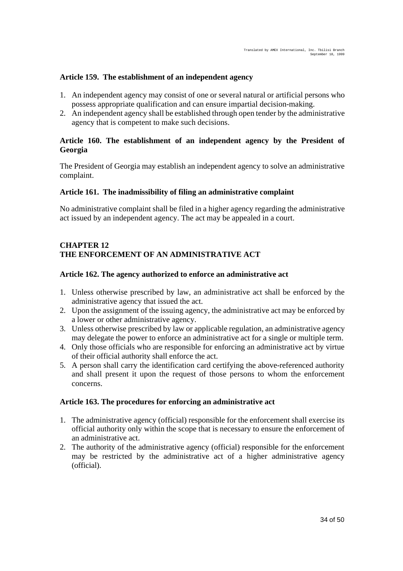## **Article 159. The establishment of an independent agency**

- 1. An independent agency may consist of one or several natural or artificial persons who possess appropriate qualification and can ensure impartial decision-making.
- 2. An independent agency shall be established through open tender by the administrative agency that is competent to make such decisions.

# **Article 160. The establishment of an independent agency by the President of Georgia**

The President of Georgia may establish an independent agency to solve an administrative complaint.

## **Article 161. The inadmissibility of filing an administrative complaint**

No administrative complaint shall be filed in a higher agency regarding the administrative act issued by an independent agency. The act may be appealed in a court.

# **CHAPTER 12 THE ENFORCEMENT OF AN ADMINISTRATIVE ACT**

## **Article 162. The agency authorized to enforce an administrative act**

- 1. Unless otherwise prescribed by law, an administrative act shall be enforced by the administrative agency that issued the act.
- 2. Upon the assignment of the issuing agency, the administrative act may be enforced by a lower or other administrative agency.
- 3. Unless otherwise prescribed by law or applicable regulation, an administrative agency may delegate the power to enforce an administrative act for a single or multiple term.
- 4. Only those officials who are responsible for enforcing an administrative act by virtue of their official authority shall enforce the act.
- 5. A person shall carry the identification card certifying the above-referenced authority and shall present it upon the request of those persons to whom the enforcement concerns.

# **Article 163. The procedures for enforcing an administrative act**

- 1. The administrative agency (official) responsible for the enforcement shall exercise its official authority only within the scope that is necessary to ensure the enforcement of an administrative act.
- 2. The authority of the administrative agency (official) responsible for the enforcement may be restricted by the administrative act of a higher administrative agency (official).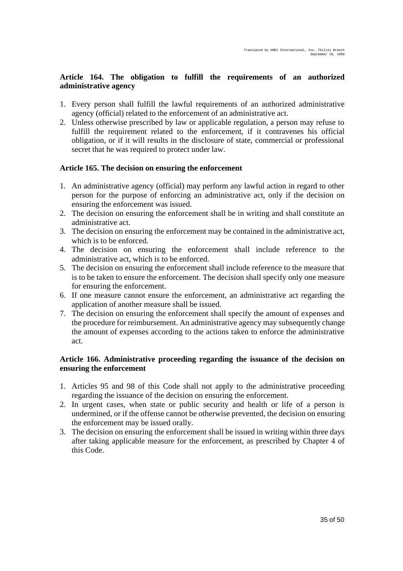# **Article 164. The obligation to fulfill the requirements of an authorized administrative agency**

- 1. Every person shall fulfill the lawful requirements of an authorized administrative agency (official) related to the enforcement of an administrative act.
- 2. Unless otherwise prescribed by law or applicable regulation, a person may refuse to fulfill the requirement related to the enforcement, if it contravenes his official obligation, or if it will results in the disclosure of state, commercial or professional secret that he was required to protect under law.

## **Article 165. The decision on ensuring the enforcement**

- 1. An administrative agency (official) may perform any lawful action in regard to other person for the purpose of enforcing an administrative act, only if the decision on ensuring the enforcement was issued.
- 2. The decision on ensuring the enforcement shall be in writing and shall constitute an administrative act.
- 3. The decision on ensuring the enforcement may be contained in the administrative act, which is to be enforced.
- 4. The decision on ensuring the enforcement shall include reference to the administrative act, which is to be enforced.
- 5. The decision on ensuring the enforcement shall include reference to the measure that is to be taken to ensure the enforcement. The decision shall specify only one measure for ensuring the enforcement.
- 6. If one measure cannot ensure the enforcement, an administrative act regarding the application of another measure shall be issued.
- 7. The decision on ensuring the enforcement shall specify the amount of expenses and the procedure for reimbursement. An administrative agency may subsequently change the amount of expenses according to the actions taken to enforce the administrative act.

# **Article 166. Administrative proceeding regarding the issuance of the decision on ensuring the enforcement**

- 1. Articles 95 and 98 of this Code shall not apply to the administrative proceeding regarding the issuance of the decision on ensuring the enforcement.
- 2. In urgent cases, when state or public security and health or life of a person is undermined, or if the offense cannot be otherwise prevented, the decision on ensuring the enforcement may be issued orally.
- 3. The decision on ensuring the enforcement shall be issued in writing within three days after taking applicable measure for the enforcement, as prescribed by Chapter 4 of this Code.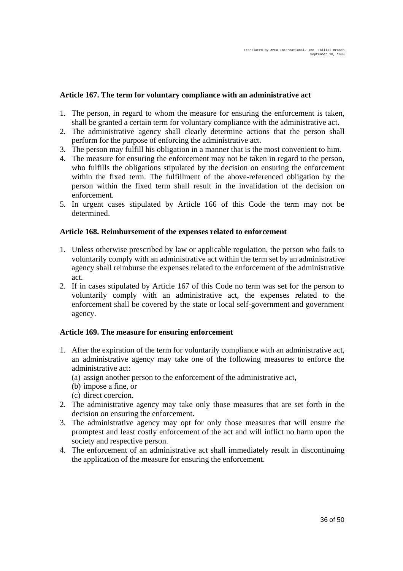## **Article 167. The term for voluntary compliance with an administrative act**

- 1. The person, in regard to whom the measure for ensuring the enforcement is taken, shall be granted a certain term for voluntary compliance with the administrative act.
- 2. The administrative agency shall clearly determine actions that the person shall perform for the purpose of enforcing the administrative act.
- 3. The person may fulfill his obligation in a manner that is the most convenient to him.
- 4. The measure for ensuring the enforcement may not be taken in regard to the person, who fulfills the obligations stipulated by the decision on ensuring the enforcement within the fixed term. The fulfillment of the above-referenced obligation by the person within the fixed term shall result in the invalidation of the decision on enforcement.
- 5. In urgent cases stipulated by Article 166 of this Code the term may not be determined.

## **Article 168. Reimbursement of the expenses related to enforcement**

- 1. Unless otherwise prescribed by law or applicable regulation, the person who fails to voluntarily comply with an administrative act within the term set by an administrative agency shall reimburse the expenses related to the enforcement of the administrative act.
- 2. If in cases stipulated by Article 167 of this Code no term was set for the person to voluntarily comply with an administrative act, the expenses related to the enforcement shall be covered by the state or local self-government and government agency.

# **Article 169. The measure for ensuring enforcement**

- 1. After the expiration of the term for voluntarily compliance with an administrative act, an administrative agency may take one of the following measures to enforce the administrative act:
	- (a) assign another person to the enforcement of the administrative act,
	- (b) impose a fine, or
	- (c) direct coercion.
- 2. The administrative agency may take only those measures that are set forth in the decision on ensuring the enforcement.
- 3. The administrative agency may opt for only those measures that will ensure the promptest and least costly enforcement of the act and will inflict no harm upon the society and respective person.
- 4. The enforcement of an administrative act shall immediately result in discontinuing the application of the measure for ensuring the enforcement.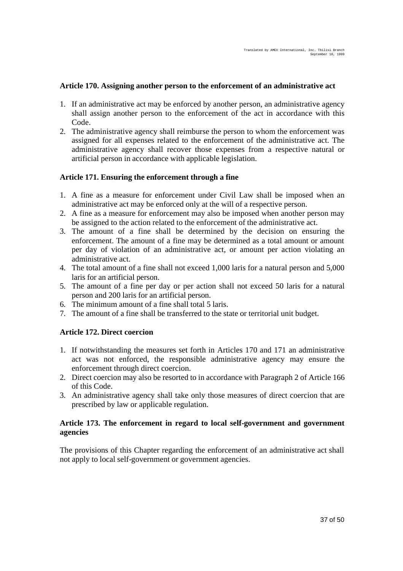## **Article 170. Assigning another person to the enforcement of an administrative act**

- 1. If an administrative act may be enforced by another person, an administrative agency shall assign another person to the enforcement of the act in accordance with this Code.
- 2. The administrative agency shall reimburse the person to whom the enforcement was assigned for all expenses related to the enforcement of the administrative act. The administrative agency shall recover those expenses from a respective natural or artificial person in accordance with applicable legislation.

## **Article 171. Ensuring the enforcement through a fine**

- 1. A fine as a measure for enforcement under Civil Law shall be imposed when an administrative act may be enforced only at the will of a respective person.
- 2. A fine as a measure for enforcement may also be imposed when another person may be assigned to the action related to the enforcement of the administrative act.
- 3. The amount of a fine shall be determined by the decision on ensuring the enforcement. The amount of a fine may be determined as a total amount or amount per day of violation of an administrative act, or amount per action violating an administrative act.
- 4. The total amount of a fine shall not exceed 1,000 laris for a natural person and 5,000 laris for an artificial person.
- 5. The amount of a fine per day or per action shall not exceed 50 laris for a natural person and 200 laris for an artificial person.
- 6. The minimum amount of a fine shall total 5 laris.
- 7. The amount of a fine shall be transferred to the state or territorial unit budget.

#### **Article 172. Direct coercion**

- 1. If notwithstanding the measures set forth in Articles 170 and 171 an administrative act was not enforced, the responsible administrative agency may ensure the enforcement through direct coercion.
- 2. Direct coercion may also be resorted to in accordance with Paragraph 2 of Article 166 of this Code.
- 3. An administrative agency shall take only those measures of direct coercion that are prescribed by law or applicable regulation.

## **Article 173. The enforcement in regard to local self-government and government agencies**

The provisions of this Chapter regarding the enforcement of an administrative act shall not apply to local self-government or government agencies.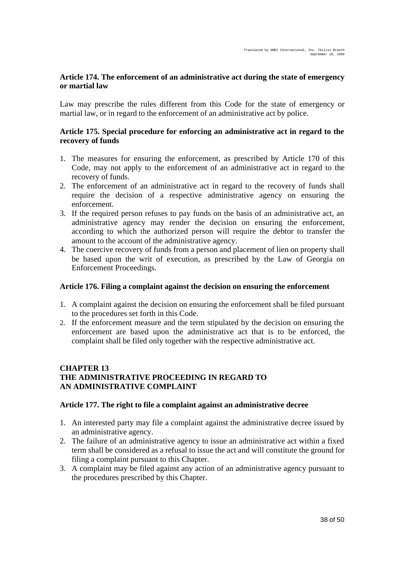# **Article 174. The enforcement of an administrative act during the state of emergency or martial law**

Law may prescribe the rules different from this Code for the state of emergency or martial law, or in regard to the enforcement of an administrative act by police.

## **Article 175. Special procedure for enforcing an administrative act in regard to the recovery of funds**

- 1. The measures for ensuring the enforcement, as prescribed by Article 170 of this Code, may not apply to the enforcement of an administrative act in regard to the recovery of funds.
- 2. The enforcement of an administrative act in regard to the recovery of funds shall require the decision of a respective administrative agency on ensuring the enforcement.
- 3. If the required person refuses to pay funds on the basis of an administrative act, an administrative agency may render the decision on ensuring the enforcement, according to which the authorized person will require the debtor to transfer the amount to the account of the administrative agency.
- 4. The coercive recovery of funds from a person and placement of lien on property shall be based upon the writ of execution, as prescribed by the Law of Georgia on Enforcement Proceedings.

#### **Article 176. Filing a complaint against the decision on ensuring the enforcement**

- 1. A complaint against the decision on ensuring the enforcement shall be filed pursuant to the procedures set forth in this Code.
- 2. If the enforcement measure and the term stipulated by the decision on ensuring the enforcement are based upon the administrative act that is to be enforced, the complaint shall be filed only together with the respective administrative act.

# **CHAPTER 13 THE ADMINISTRATIVE PROCEEDING IN REGARD TO AN ADMINISTRATIVE COMPLAINT**

#### **Article 177. The right to file a complaint against an administrative decree**

- 1. An interested party may file a complaint against the administrative decree issued by an administrative agency.
- 2. The failure of an administrative agency to issue an administrative act within a fixed term shall be considered as a refusal to issue the act and will constitute the ground for filing a complaint pursuant to this Chapter.
- 3. A complaint may be filed against any action of an administrative agency pursuant to the procedures prescribed by this Chapter.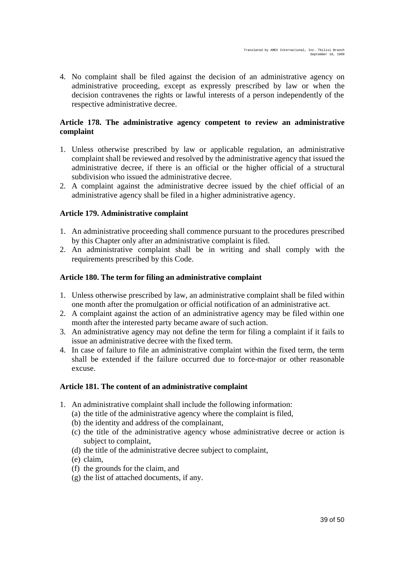4. No complaint shall be filed against the decision of an administrative agency on administrative proceeding, except as expressly prescribed by law or when the decision contravenes the rights or lawful interests of a person independently of the respective administrative decree.

# **Article 178. The administrative agency competent to review an administrative complaint**

- 1. Unless otherwise prescribed by law or applicable regulation, an administrative complaint shall be reviewed and resolved by the administrative agency that issued the administrative decree, if there is an official or the higher official of a structural subdivision who issued the administrative decree.
- 2. A complaint against the administrative decree issued by the chief official of an administrative agency shall be filed in a higher administrative agency.

# **Article 179. Administrative complaint**

- 1. An administrative proceeding shall commence pursuant to the procedures prescribed by this Chapter only after an administrative complaint is filed.
- 2. An administrative complaint shall be in writing and shall comply with the requirements prescribed by this Code.

## **Article 180. The term for filing an administrative complaint**

- 1. Unless otherwise prescribed by law, an administrative complaint shall be filed within one month after the promulgation or official notification of an administrative act.
- 2. A complaint against the action of an administrative agency may be filed within one month after the interested party became aware of such action.
- 3. An administrative agency may not define the term for filing a complaint if it fails to issue an administrative decree with the fixed term.
- 4. In case of failure to file an administrative complaint within the fixed term, the term shall be extended if the failure occurred due to force-major or other reasonable excuse.

#### **Article 181. The content of an administrative complaint**

- 1. An administrative complaint shall include the following information:
	- (a) the title of the administrative agency where the complaint is filed,
	- (b) the identity and address of the complainant,
	- (c) the title of the administrative agency whose administrative decree or action is subject to complaint,
	- (d) the title of the administrative decree subject to complaint,
	- (e) claim,
	- (f) the grounds for the claim, and
	- (g) the list of attached documents, if any.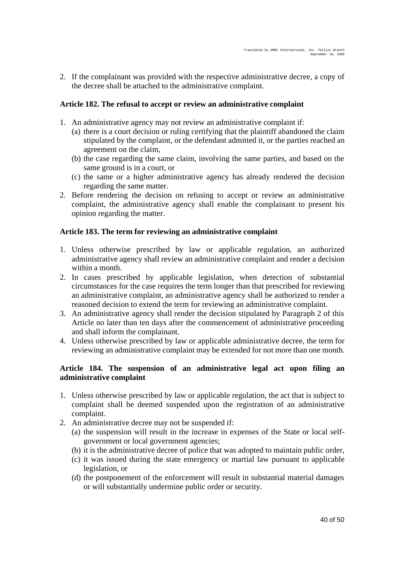2. If the complainant was provided with the respective administrative decree, a copy of the decree shall be attached to the administrative complaint.

#### **Article 182. The refusal to accept or review an administrative complaint**

- 1. An administrative agency may not review an administrative complaint if:
	- (a) there is a court decision or ruling certifying that the plaintiff abandoned the claim stipulated by the complaint, or the defendant admitted it, or the parties reached an agreement on the claim,
	- (b) the case regarding the same claim, involving the same parties, and based on the same ground is in a court, or
	- (c) the same or a higher administrative agency has already rendered the decision regarding the same matter.
- 2. Before rendering the decision on refusing to accept or review an administrative complaint, the administrative agency shall enable the complainant to present his opinion regarding the matter.

#### **Article 183. The term for reviewing an administrative complaint**

- 1. Unless otherwise prescribed by law or applicable regulation, an authorized administrative agency shall review an administrative complaint and render a decision within a month.
- 2. In cases prescribed by applicable legislation, when detection of substantial circumstances for the case requires the term longer than that prescribed for reviewing an administrative complaint, an administrative agency shall be authorized to render a reasoned decision to extend the term for reviewing an administrative complaint.
- 3. An administrative agency shall render the decision stipulated by Paragraph 2 of this Article no later than ten days after the commencement of administrative proceeding and shall inform the complainant.
- 4. Unless otherwise prescribed by law or applicable administrative decree, the term for reviewing an administrative complaint may be extended for not more than one month.

## **Article 184. The suspension of an administrative legal act upon filing an administrative complaint**

- 1. Unless otherwise prescribed by law or applicable regulation, the act that is subject to complaint shall be deemed suspended upon the registration of an administrative complaint.
- 2. An administrative decree may not be suspended if:
	- (a) the suspension will result in the increase in expenses of the State or local selfgovernment or local government agencies;
	- (b) it is the administrative decree of police that was adopted to maintain public order,
	- (c) it was issued during the state emergency or martial law pursuant to applicable legislation, or
	- (d) the postponement of the enforcement will result in substantial material damages or will substantially undermine public order or security.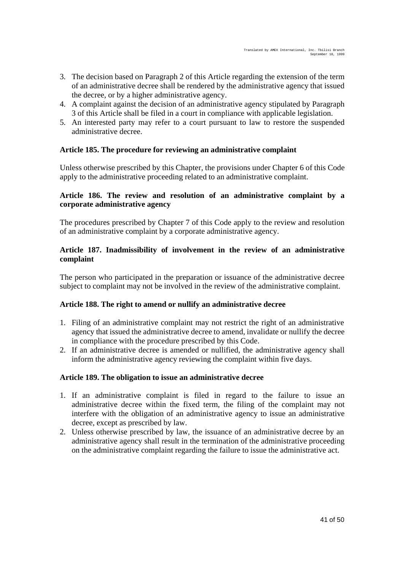- 3. The decision based on Paragraph 2 of this Article regarding the extension of the term of an administrative decree shall be rendered by the administrative agency that issued the decree, or by a higher administrative agency.
- 4. A complaint against the decision of an administrative agency stipulated by Paragraph 3 of this Article shall be filed in a court in compliance with applicable legislation.
- 5. An interested party may refer to a court pursuant to law to restore the suspended administrative decree.

#### **Article 185. The procedure for reviewing an administrative complaint**

Unless otherwise prescribed by this Chapter, the provisions under Chapter 6 of this Code apply to the administrative proceeding related to an administrative complaint.

## **Article 186. The review and resolution of an administrative complaint by a corporate administrative agency**

The procedures prescribed by Chapter 7 of this Code apply to the review and resolution of an administrative complaint by a corporate administrative agency.

## **Article 187. Inadmissibility of involvement in the review of an administrative complaint**

The person who participated in the preparation or issuance of the administrative decree subject to complaint may not be involved in the review of the administrative complaint.

#### **Article 188. The right to amend or nullify an administrative decree**

- 1. Filing of an administrative complaint may not restrict the right of an administrative agency that issued the administrative decree to amend, invalidate or nullify the decree in compliance with the procedure prescribed by this Code.
- 2. If an administrative decree is amended or nullified, the administrative agency shall inform the administrative agency reviewing the complaint within five days.

# **Article 189. The obligation to issue an administrative decree**

- 1. If an administrative complaint is filed in regard to the failure to issue an administrative decree within the fixed term, the filing of the complaint may not interfere with the obligation of an administrative agency to issue an administrative decree, except as prescribed by law.
- 2. Unless otherwise prescribed by law, the issuance of an administrative decree by an administrative agency shall result in the termination of the administrative proceeding on the administrative complaint regarding the failure to issue the administrative act.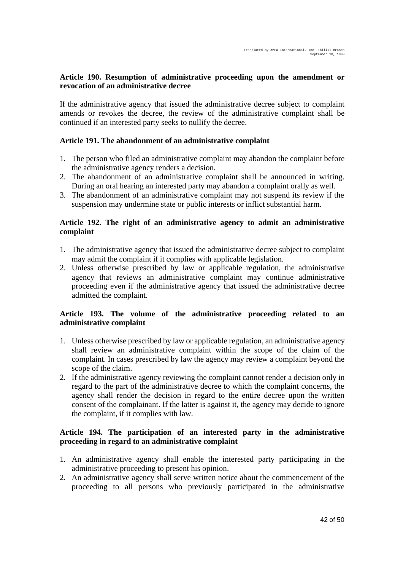# **Article 190. Resumption of administrative proceeding upon the amendment or revocation of an administrative decree**

If the administrative agency that issued the administrative decree subject to complaint amends or revokes the decree, the review of the administrative complaint shall be continued if an interested party seeks to nullify the decree.

## **Article 191. The abandonment of an administrative complaint**

- 1. The person who filed an administrative complaint may abandon the complaint before the administrative agency renders a decision.
- 2. The abandonment of an administrative complaint shall be announced in writing. During an oral hearing an interested party may abandon a complaint orally as well.
- 3. The abandonment of an administrative complaint may not suspend its review if the suspension may undermine state or public interests or inflict substantial harm.

## **Article 192. The right of an administrative agency to admit an administrative complaint**

- 1. The administrative agency that issued the administrative decree subject to complaint may admit the complaint if it complies with applicable legislation.
- 2. Unless otherwise prescribed by law or applicable regulation, the administrative agency that reviews an administrative complaint may continue administrative proceeding even if the administrative agency that issued the administrative decree admitted the complaint.

# **Article 193. The volume of the administrative proceeding related to an administrative complaint**

- 1. Unless otherwise prescribed by law or applicable regulation, an administrative agency shall review an administrative complaint within the scope of the claim of the complaint. In cases prescribed by law the agency may review a complaint beyond the scope of the claim.
- 2. If the administrative agency reviewing the complaint cannot render a decision only in regard to the part of the administrative decree to which the complaint concerns, the agency shall render the decision in regard to the entire decree upon the written consent of the complainant. If the latter is against it, the agency may decide to ignore the complaint, if it complies with law.

# **Article 194. The participation of an interested party in the administrative proceeding in regard to an administrative complaint**

- 1. An administrative agency shall enable the interested party participating in the administrative proceeding to present his opinion.
- 2. An administrative agency shall serve written notice about the commencement of the proceeding to all persons who previously participated in the administrative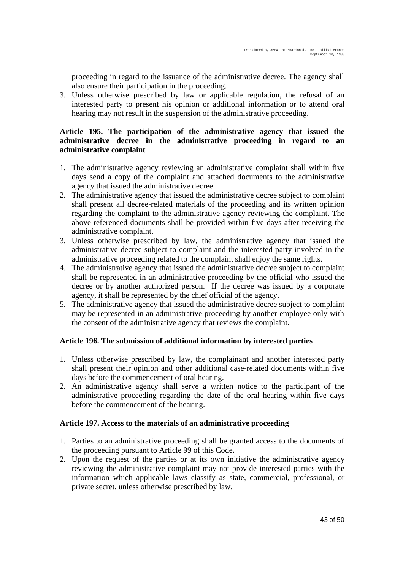proceeding in regard to the issuance of the administrative decree. The agency shall also ensure their participation in the proceeding.

3. Unless otherwise prescribed by law or applicable regulation, the refusal of an interested party to present his opinion or additional information or to attend oral hearing may not result in the suspension of the administrative proceeding.

# **Article 195. The participation of the administrative agency that issued the administrative decree in the administrative proceeding in regard to an administrative complaint**

- 1. The administrative agency reviewing an administrative complaint shall within five days send a copy of the complaint and attached documents to the administrative agency that issued the administrative decree.
- 2. The administrative agency that issued the administrative decree subject to complaint shall present all decree-related materials of the proceeding and its written opinion regarding the complaint to the administrative agency reviewing the complaint. The above-referenced documents shall be provided within five days after receiving the administrative complaint.
- 3. Unless otherwise prescribed by law, the administrative agency that issued the administrative decree subject to complaint and the interested party involved in the administrative proceeding related to the complaint shall enjoy the same rights.
- 4. The administrative agency that issued the administrative decree subject to complaint shall be represented in an administrative proceeding by the official who issued the decree or by another authorized person. If the decree was issued by a corporate agency, it shall be represented by the chief official of the agency.
- 5. The administrative agency that issued the administrative decree subject to complaint may be represented in an administrative proceeding by another employee only with the consent of the administrative agency that reviews the complaint.

# **Article 196. The submission of additional information by interested parties**

- 1. Unless otherwise prescribed by law, the complainant and another interested party shall present their opinion and other additional case-related documents within five days before the commencement of oral hearing.
- 2. An administrative agency shall serve a written notice to the participant of the administrative proceeding regarding the date of the oral hearing within five days before the commencement of the hearing.

# **Article 197. Access to the materials of an administrative proceeding**

- 1. Parties to an administrative proceeding shall be granted access to the documents of the proceeding pursuant to Article 99 of this Code.
- 2. Upon the request of the parties or at its own initiative the administrative agency reviewing the administrative complaint may not provide interested parties with the information which applicable laws classify as state, commercial, professional, or private secret, unless otherwise prescribed by law.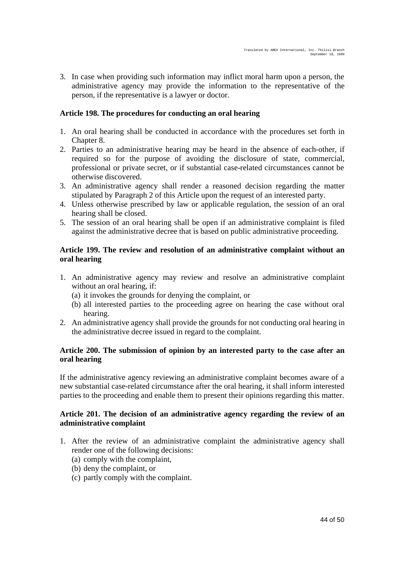3. In case when providing such information may inflict moral harm upon a person, the administrative agency may provide the information to the representative of the person, if the representative is a lawyer or doctor.

## **Article 198. The procedures for conducting an oral hearing**

- 1. An oral hearing shall be conducted in accordance with the procedures set forth in Chapter 8.
- 2. Parties to an administrative hearing may be heard in the absence of each-other, if required so for the purpose of avoiding the disclosure of state, commercial, professional or private secret, or if substantial case-related circumstances cannot be otherwise discovered.
- 3. An administrative agency shall render a reasoned decision regarding the matter stipulated by Paragraph 2 of this Article upon the request of an interested party.
- 4. Unless otherwise prescribed by law or applicable regulation, the session of an oral hearing shall be closed.
- 5. The session of an oral hearing shall be open if an administrative complaint is filed against the administrative decree that is based on public administrative proceeding.

## **Article 199. The review and resolution of an administrative complaint without an oral hearing**

- 1. An administrative agency may review and resolve an administrative complaint without an oral hearing, if:
	- (a) it invokes the grounds for denying the complaint, or
	- (b) all interested parties to the proceeding agree on hearing the case without oral hearing.
- 2. An administrative agency shall provide the grounds for not conducting oral hearing in the administrative decree issued in regard to the complaint.

# **Article 200. The submission of opinion by an interested party to the case after an oral hearing**

If the administrative agency reviewing an administrative complaint becomes aware of a new substantial case-related circumstance after the oral hearing, it shall inform interested parties to the proceeding and enable them to present their opinions regarding this matter.

# **Article 201. The decision of an administrative agency regarding the review of an administrative complaint**

- 1. After the review of an administrative complaint the administrative agency shall render one of the following decisions:
	- (a) comply with the complaint,
	- (b) deny the complaint, or
	- (c) partly comply with the complaint.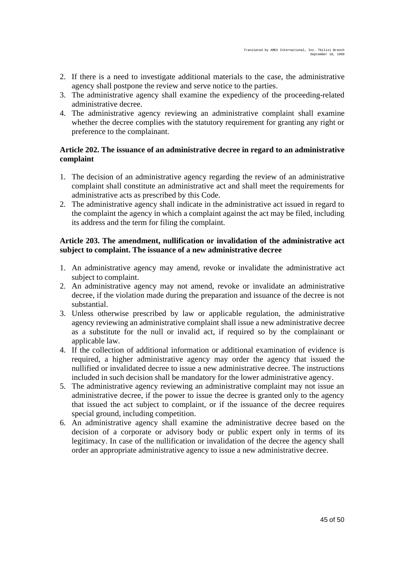- 2. If there is a need to investigate additional materials to the case, the administrative agency shall postpone the review and serve notice to the parties.
- 3. The administrative agency shall examine the expediency of the proceeding-related administrative decree.
- 4. The administrative agency reviewing an administrative complaint shall examine whether the decree complies with the statutory requirement for granting any right or preference to the complainant.

## **Article 202. The issuance of an administrative decree in regard to an administrative complaint**

- 1. The decision of an administrative agency regarding the review of an administrative complaint shall constitute an administrative act and shall meet the requirements for administrative acts as prescribed by this Code.
- 2. The administrative agency shall indicate in the administrative act issued in regard to the complaint the agency in which a complaint against the act may be filed, including its address and the term for filing the complaint.

# **Article 203. The amendment, nullification or invalidation of the administrative act subject to complaint. The issuance of a new administrative decree**

- 1. An administrative agency may amend, revoke or invalidate the administrative act subject to complaint.
- 2. An administrative agency may not amend, revoke or invalidate an administrative decree, if the violation made during the preparation and issuance of the decree is not substantial.
- 3. Unless otherwise prescribed by law or applicable regulation, the administrative agency reviewing an administrative complaint shall issue a new administrative decree as a substitute for the null or invalid act, if required so by the complainant or applicable law.
- 4. If the collection of additional information or additional examination of evidence is required, a higher administrative agency may order the agency that issued the nullified or invalidated decree to issue a new administrative decree. The instructions included in such decision shall be mandatory for the lower administrative agency.
- 5. The administrative agency reviewing an administrative complaint may not issue an administrative decree, if the power to issue the decree is granted only to the agency that issued the act subject to complaint, or if the issuance of the decree requires special ground, including competition.
- 6. An administrative agency shall examine the administrative decree based on the decision of a corporate or advisory body or public expert only in terms of its legitimacy. In case of the nullification or invalidation of the decree the agency shall order an appropriate administrative agency to issue a new administrative decree.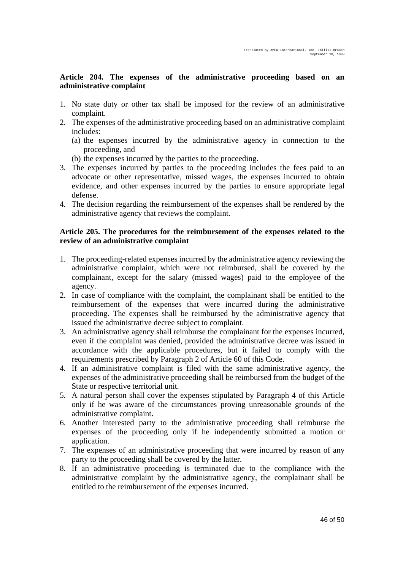## **Article 204. The expenses of the administrative proceeding based on an administrative complaint**

- 1. No state duty or other tax shall be imposed for the review of an administrative complaint.
- 2. The expenses of the administrative proceeding based on an administrative complaint includes:
	- (a) the expenses incurred by the administrative agency in connection to the proceeding, and
	- (b) the expenses incurred by the parties to the proceeding.
- 3. The expenses incurred by parties to the proceeding includes the fees paid to an advocate or other representative, missed wages, the expenses incurred to obtain evidence, and other expenses incurred by the parties to ensure appropriate legal defense.
- 4. The decision regarding the reimbursement of the expenses shall be rendered by the administrative agency that reviews the complaint.

## **Article 205. The procedures for the reimbursement of the expenses related to the review of an administrative complaint**

- 1. The proceeding-related expenses incurred by the administrative agency reviewing the administrative complaint, which were not reimbursed, shall be covered by the complainant, except for the salary (missed wages) paid to the employee of the agency.
- 2. In case of compliance with the complaint, the complainant shall be entitled to the reimbursement of the expenses that were incurred during the administrative proceeding. The expenses shall be reimbursed by the administrative agency that issued the administrative decree subject to complaint.
- 3. An administrative agency shall reimburse the complainant for the expenses incurred, even if the complaint was denied, provided the administrative decree was issued in accordance with the applicable procedures, but it failed to comply with the requirements prescribed by Paragraph 2 of Article 60 of this Code.
- 4. If an administrative complaint is filed with the same administrative agency, the expenses of the administrative proceeding shall be reimbursed from the budget of the State or respective territorial unit.
- 5. A natural person shall cover the expenses stipulated by Paragraph 4 of this Article only if he was aware of the circumstances proving unreasonable grounds of the administrative complaint.
- 6. Another interested party to the administrative proceeding shall reimburse the expenses of the proceeding only if he independently submitted a motion or application.
- 7. The expenses of an administrative proceeding that were incurred by reason of any party to the proceeding shall be covered by the latter.
- 8. If an administrative proceeding is terminated due to the compliance with the administrative complaint by the administrative agency, the complainant shall be entitled to the reimbursement of the expenses incurred.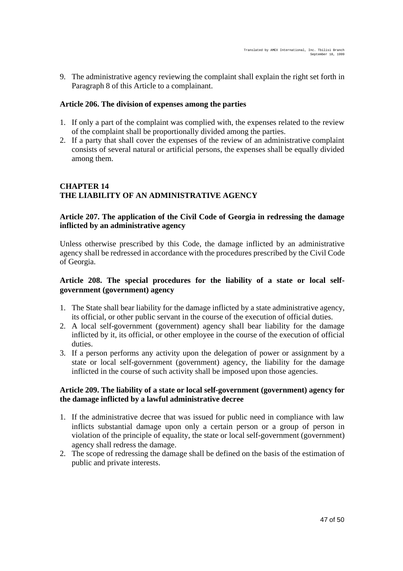9. The administrative agency reviewing the complaint shall explain the right set forth in Paragraph 8 of this Article to a complainant.

#### **Article 206. The division of expenses among the parties**

- 1. If only a part of the complaint was complied with, the expenses related to the review of the complaint shall be proportionally divided among the parties.
- 2. If a party that shall cover the expenses of the review of an administrative complaint consists of several natural or artificial persons, the expenses shall be equally divided among them.

# **CHAPTER 14 THE LIABILITY OF AN ADMINISTRATIVE AGENCY**

# **Article 207. The application of the Civil Code of Georgia in redressing the damage inflicted by an administrative agency**

Unless otherwise prescribed by this Code, the damage inflicted by an administrative agency shall be redressed in accordance with the procedures prescribed by the Civil Code of Georgia.

# **Article 208. The special procedures for the liability of a state or local selfgovernment (government) agency**

- 1. The State shall bear liability for the damage inflicted by a state administrative agency, its official, or other public servant in the course of the execution of official duties.
- 2. A local self-government (government) agency shall bear liability for the damage inflicted by it, its official, or other employee in the course of the execution of official duties.
- 3. If a person performs any activity upon the delegation of power or assignment by a state or local self-government (government) agency, the liability for the damage inflicted in the course of such activity shall be imposed upon those agencies.

## **Article 209. The liability of a state or local self-government (government) agency for the damage inflicted by a lawful administrative decree**

- 1. If the administrative decree that was issued for public need in compliance with law inflicts substantial damage upon only a certain person or a group of person in violation of the principle of equality, the state or local self-government (government) agency shall redress the damage.
- 2. The scope of redressing the damage shall be defined on the basis of the estimation of public and private interests.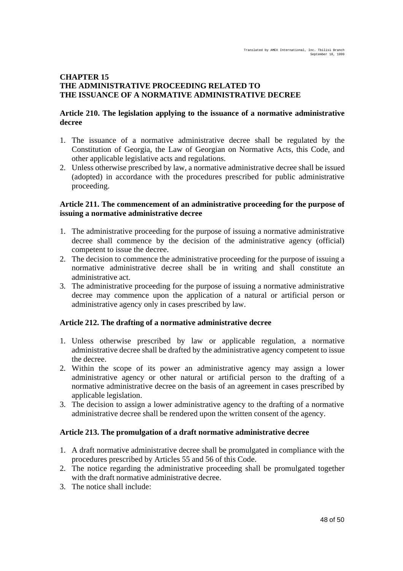# **CHAPTER 15 THE ADMINISTRATIVE PROCEEDING RELATED TO THE ISSUANCE OF A NORMATIVE ADMINISTRATIVE DECREE**

# **Article 210. The legislation applying to the issuance of a normative administrative decree**

- 1. The issuance of a normative administrative decree shall be regulated by the Constitution of Georgia, the Law of Georgian on Normative Acts, this Code, and other applicable legislative acts and regulations.
- 2. Unless otherwise prescribed by law, a normative administrative decree shall be issued (adopted) in accordance with the procedures prescribed for public administrative proceeding.

## **Article 211. The commencement of an administrative proceeding for the purpose of issuing a normative administrative decree**

- 1. The administrative proceeding for the purpose of issuing a normative administrative decree shall commence by the decision of the administrative agency (official) competent to issue the decree.
- 2. The decision to commence the administrative proceeding for the purpose of issuing a normative administrative decree shall be in writing and shall constitute an administrative act.
- 3. The administrative proceeding for the purpose of issuing a normative administrative decree may commence upon the application of a natural or artificial person or administrative agency only in cases prescribed by law.

# **Article 212. The drafting of a normative administrative decree**

- 1. Unless otherwise prescribed by law or applicable regulation, a normative administrative decree shall be drafted by the administrative agency competent to issue the decree.
- 2. Within the scope of its power an administrative agency may assign a lower administrative agency or other natural or artificial person to the drafting of a normative administrative decree on the basis of an agreement in cases prescribed by applicable legislation.
- 3. The decision to assign a lower administrative agency to the drafting of a normative administrative decree shall be rendered upon the written consent of the agency.

# **Article 213. The promulgation of a draft normative administrative decree**

- 1. A draft normative administrative decree shall be promulgated in compliance with the procedures prescribed by Articles 55 and 56 of this Code.
- 2. The notice regarding the administrative proceeding shall be promulgated together with the draft normative administrative decree.
- 3. The notice shall include: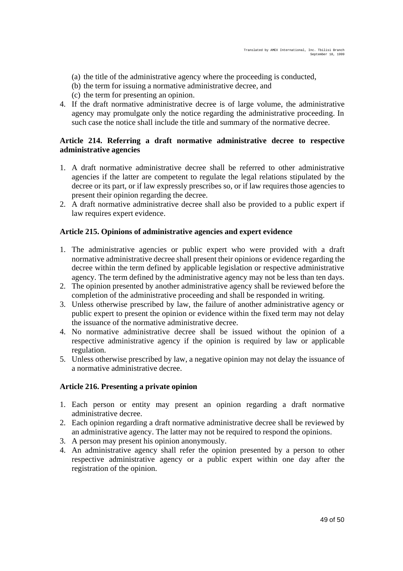(a) the title of the administrative agency where the proceeding is conducted,

- (b) the term for issuing a normative administrative decree, and
- (c) the term for presenting an opinion.
- 4. If the draft normative administrative decree is of large volume, the administrative agency may promulgate only the notice regarding the administrative proceeding. In such case the notice shall include the title and summary of the normative decree.

# **Article 214. Referring a draft normative administrative decree to respective administrative agencies**

- 1. A draft normative administrative decree shall be referred to other administrative agencies if the latter are competent to regulate the legal relations stipulated by the decree or its part, or if law expressly prescribes so, or if law requires those agencies to present their opinion regarding the decree.
- 2. A draft normative administrative decree shall also be provided to a public expert if law requires expert evidence.

# **Article 215. Opinions of administrative agencies and expert evidence**

- 1. The administrative agencies or public expert who were provided with a draft normative administrative decree shall present their opinions or evidence regarding the decree within the term defined by applicable legislation or respective administrative agency. The term defined by the administrative agency may not be less than ten days.
- 2. The opinion presented by another administrative agency shall be reviewed before the completion of the administrative proceeding and shall be responded in writing.
- 3. Unless otherwise prescribed by law, the failure of another administrative agency or public expert to present the opinion or evidence within the fixed term may not delay the issuance of the normative administrative decree.
- 4. No normative administrative decree shall be issued without the opinion of a respective administrative agency if the opinion is required by law or applicable regulation.
- 5. Unless otherwise prescribed by law, a negative opinion may not delay the issuance of a normative administrative decree.

#### **Article 216. Presenting a private opinion**

- 1. Each person or entity may present an opinion regarding a draft normative administrative decree.
- 2. Each opinion regarding a draft normative administrative decree shall be reviewed by an administrative agency. The latter may not be required to respond the opinions.
- 3. A person may present his opinion anonymously.
- 4. An administrative agency shall refer the opinion presented by a person to other respective administrative agency or a public expert within one day after the registration of the opinion.